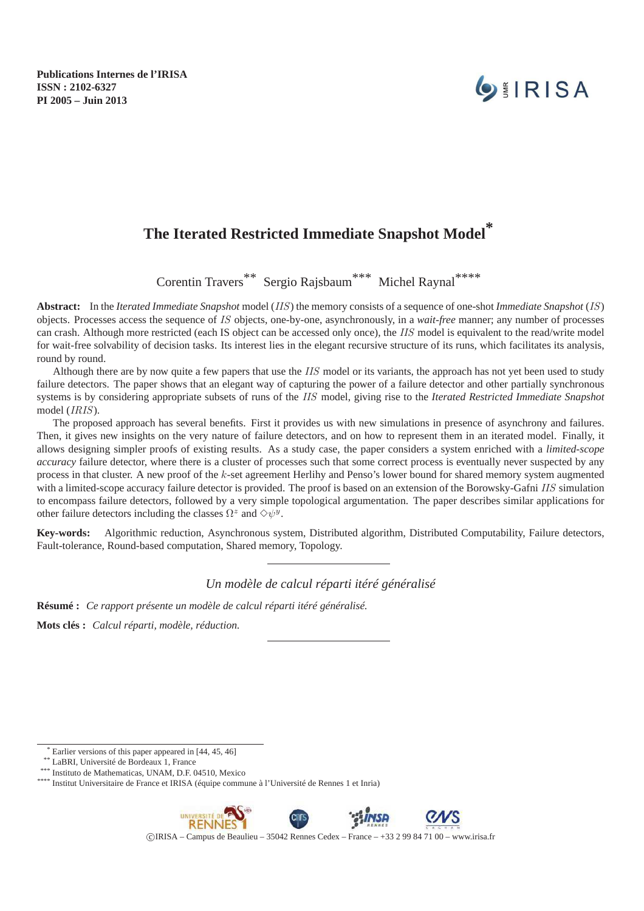**Publications Internes de l'IRISA ISSN : 2102-6327 PI 2005 – Juin 2013**

# **OEIRISA**

# **The Iterated Restricted Immediate Snapshot Model\***

Corentin Travers\*\* Sergio Rajsbaum\*\*\* Michel Raynal\*\*\*\*

**Abstract:** In the *Iterated Immediate Snapshot* model (IIS) the memory consists of a sequence of one-shot *Immediate Snapshot* (IS) objects. Processes access the sequence of IS objects, one-by-one, asynchronously, in a *wait-free* manner; any number of processes can crash. Although more restricted (each IS object can be accessed only once), the IIS model is equivalent to the read/write model for wait-free solvability of decision tasks. Its interest lies in the elegant recursive structure of its runs, which facilitates its analysis, round by round.

Although there are by now quite a few papers that use the IIS model or its variants, the approach has not yet been used to study failure detectors. The paper shows that an elegant way of capturing the power of a failure detector and other partially synchronous systems is by considering appropriate subsets of runs of the IIS model, giving rise to the *Iterated Restricted Immediate Snapshot* model (IRIS).

The proposed approach has several benefits. First it provides us with new simulations in presence of asynchrony and failures. Then, it gives new insights on the very nature of failure detectors, and on how to represent them in an iterated model. Finally, it allows designing simpler proofs of existing results. As a study case, the paper considers a system enriched with a *limited-scope accuracy* failure detector, where there is a cluster of processes such that some correct process is eventually never suspected by any process in that cluster. A new proof of the k-set agreement Herlihy and Penso's lower bound for shared memory system augmented with a limited-scope accuracy failure detector is provided. The proof is based on an extension of the Borowsky-Gafni IIS simulation to encompass failure detectors, followed by a very simple topological argumentation. The paper describes similar applications for other failure detectors including the classes  $\Omega^z$  and  $\diamond \psi^y$ .

**Key-words:** Algorithmic reduction, Asynchronous system, Distributed algorithm, Distributed Computability, Failure detectors, Fault-tolerance, Round-based computation, Shared memory, Topology.

#### *Un modèle de calcul réparti itéré généralisé*

**Résumé :** *Ce rapport présente un modèle de calcul réparti itéré généralisé.*

**Mots clés :** *Calcul réparti, modèle, réduction.*

**RENNES** 

c IRISA – Campus de Beaulieu – 35042 Rennes Cedex – France – +33 2 99 84 71 00 – www.irisa.fr

Earlier versions of this paper appeared in [44, 45, 46]

<sup>\*\*</sup> LaBRI, Université de Bordeaux 1, France

 $*$  Instituto de Mathematicas, UNAM, D.F. 04510, Mexico

<sup>\*\*\*\*</sup> Institut Universitaire de France et IRISA (équipe commune à l'Université de Rennes 1 et Inria)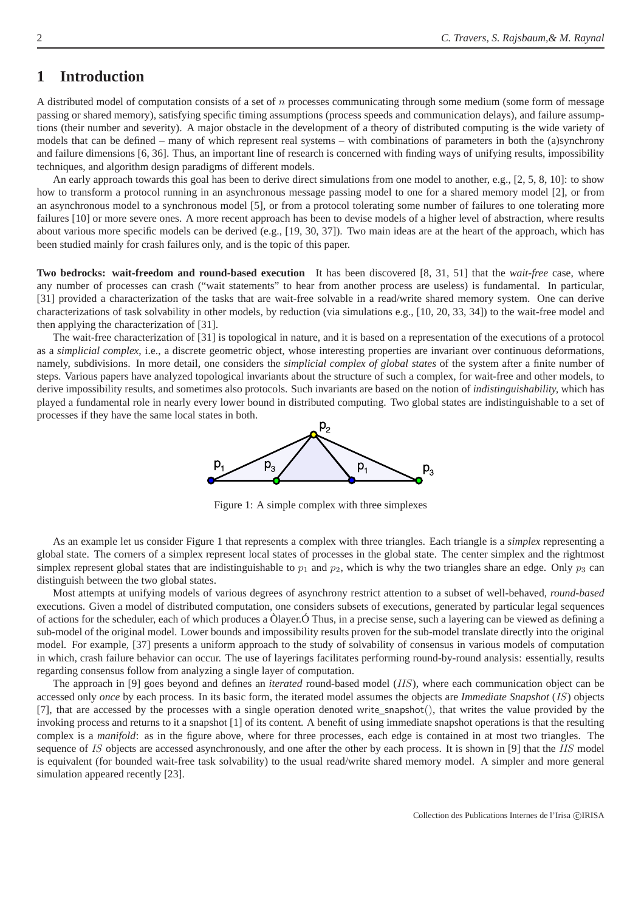## **1 Introduction**

A distributed model of computation consists of a set of  $n$  processes communicating through some medium (some form of message passing or shared memory), satisfying specific timing assumptions (process speeds and communication delays), and failure assumptions (their number and severity). A major obstacle in the development of a theory of distributed computing is the wide variety of models that can be defined – many of which represent real systems – with combinations of parameters in both the (a)synchrony and failure dimensions [6, 36]. Thus, an important line of research is concerned with finding ways of unifying results, impossibility techniques, and algorithm design paradigms of different models.

An early approach towards this goal has been to derive direct simulations from one model to another, e.g., [2, 5, 8, 10]: to show how to transform a protocol running in an asynchronous message passing model to one for a shared memory model [2], or from an asynchronous model to a synchronous model [5], or from a protocol tolerating some number of failures to one tolerating more failures [10] or more severe ones. A more recent approach has been to devise models of a higher level of abstraction, where results about various more specific models can be derived (e.g., [19, 30, 37]). Two main ideas are at the heart of the approach, which has been studied mainly for crash failures only, and is the topic of this paper.

**Two bedrocks: wait-freedom and round-based execution** It has been discovered [8, 31, 51] that the *wait-free* case, where any number of processes can crash ("wait statements" to hear from another process are useless) is fundamental. In particular, [31] provided a characterization of the tasks that are wait-free solvable in a read/write shared memory system. One can derive characterizations of task solvability in other models, by reduction (via simulations e.g., [10, 20, 33, 34]) to the wait-free model and then applying the characterization of [31].

The wait-free characterization of [31] is topological in nature, and it is based on a representation of the executions of a protocol as a *simplicial complex*, i.e., a discrete geometric object, whose interesting properties are invariant over continuous deformations, namely, subdivisions. In more detail, one considers the *simplicial complex of global states* of the system after a finite number of steps. Various papers have analyzed topological invariants about the structure of such a complex, for wait-free and other models, to derive impossibility results, and sometimes also protocols. Such invariants are based on the notion of *indistinguishability,* which has played a fundamental role in nearly every lower bound in distributed computing. Two global states are indistinguishable to a set of processes if they have the same local states in both.



Figure 1: A simple complex with three simplexes

As an example let us consider Figure 1 that represents a complex with three triangles. Each triangle is a *simplex* representing a global state. The corners of a simplex represent local states of processes in the global state. The center simplex and the rightmost simplex represent global states that are indistinguishable to  $p_1$  and  $p_2$ , which is why the two triangles share an edge. Only  $p_3$  can distinguish between the two global states.

Most attempts at unifying models of various degrees of asynchrony restrict attention to a subset of well-behaved, *round-based* executions. Given a model of distributed computation, one considers subsets of executions, generated by particular legal sequences of actions for the scheduler, each of which produces a Òlayer.Ó Thus, in a precise sense, such a layering can be viewed as defining a sub-model of the original model. Lower bounds and impossibility results proven for the sub-model translate directly into the original model. For example, [37] presents a uniform approach to the study of solvability of consensus in various models of computation in which, crash failure behavior can occur. The use of layerings facilitates performing round-by-round analysis: essentially, results regarding consensus follow from analyzing a single layer of computation.

The approach in [9] goes beyond and defines an *iterated* round-based model (IIS), where each communication object can be accessed only *once* by each process. In its basic form, the iterated model assumes the objects are *Immediate Snapshot* (IS) objects [7], that are accessed by the processes with a single operation denoted write snapshot(), that writes the value provided by the invoking process and returns to it a snapshot [1] of its content. A benefit of using immediate snapshot operations is that the resulting complex is a *manifold*: as in the figure above, where for three processes, each edge is contained in at most two triangles. The sequence of IS objects are accessed asynchronously, and one after the other by each process. It is shown in [9] that the IIS model is equivalent (for bounded wait-free task solvability) to the usual read/write shared memory model. A simpler and more general simulation appeared recently [23].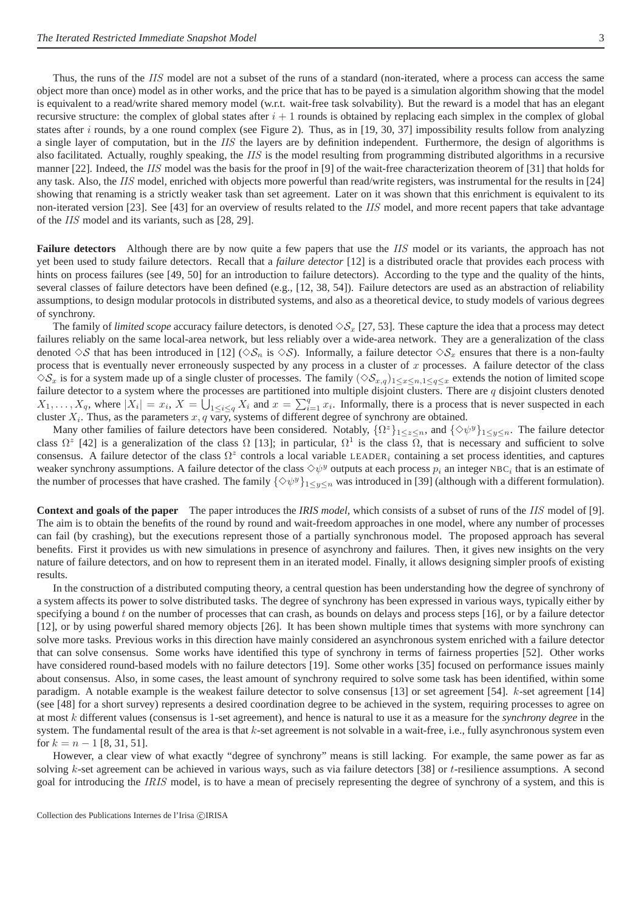Thus, the runs of the IIS model are not a subset of the runs of a standard (non-iterated, where a process can access the same object more than once) model as in other works, and the price that has to be payed is a simulation algorithm showing that the model is equivalent to a read/write shared memory model (w.r.t. wait-free task solvability). But the reward is a model that has an elegant recursive structure: the complex of global states after  $i + 1$  rounds is obtained by replacing each simplex in the complex of global states after i rounds, by a one round complex (see Figure 2). Thus, as in [19, 30, 37] impossibility results follow from analyzing a single layer of computation, but in the IIS the layers are by definition independent. Furthermore, the design of algorithms is also facilitated. Actually, roughly speaking, the IIS is the model resulting from programming distributed algorithms in a recursive manner [22]. Indeed, the IIS model was the basis for the proof in [9] of the wait-free characterization theorem of [31] that holds for any task. Also, the IIS model, enriched with objects more powerful than read/write registers, was instrumental for the results in [24] showing that renaming is a strictly weaker task than set agreement. Later on it was shown that this enrichment is equivalent to its non-iterated version [23]. See [43] for an overview of results related to the IIS model, and more recent papers that take advantage of the IIS model and its variants, such as [28, 29].

**Failure detectors** Although there are by now quite a few papers that use the IIS model or its variants, the approach has not yet been used to study failure detectors. Recall that a *failure detector* [12] is a distributed oracle that provides each process with hints on process failures (see [49, 50] for an introduction to failure detectors). According to the type and the quality of the hints, several classes of failure detectors have been defined (e.g., [12, 38, 54]). Failure detectors are used as an abstraction of reliability assumptions, to design modular protocols in distributed systems, and also as a theoretical device, to study models of various degrees of synchrony.

The family of *limited scope* accuracy failure detectors, is denoted  $\Diamond S_x$  [27, 53]. These capture the idea that a process may detect failures reliably on the same local-area network, but less reliably over a wide-area network. They are a generalization of the class denoted  $\Diamond S$  that has been introduced in [12] ( $\Diamond S_n$  is  $\Diamond S$ ). Informally, a failure detector  $\Diamond S_x$  ensures that there is a non-faulty process that is eventually never erroneously suspected by any process in a cluster of  $x$  processes. A failure detector of the class  $\diamondsuit S_x$  is for a system made up of a single cluster of processes. The family  $(\diamondsuit S_{x,q})_{1\leq x\leq n,1\leq q\leq x}$  extends the notion of limited scope failure detector to a system where the processes are partitioned into multiple disjoint clusters. There are q disjoint clusters denoted  $X_1, \ldots, X_q$ , where  $|X_i| = x_i$ ,  $X = \bigcup_{1 \leq i \leq q} X_i$  and  $x = \sum_{i=1}^q x_i$ . Informally, there is a process that is never suspected in each cluster  $X_i$ . Thus, as the parameters  $x, q$  vary, systems of different degree of synchrony are obtained.

Many other families of failure detectors have been considered. Notably,  $\{\Omega^z\}_{1\leq z\leq n}$ , and  $\{\Diamond \psi^y\}_{1\leq y\leq n}$ . The failure detector class  $\Omega^z$  [42] is a generalization of the class  $\Omega$  [13]; in particular,  $\Omega^1$  is the class  $\overline{\Omega}$ , that is necessary and sufficient to solve consensus. A failure detector of the class  $\Omega^z$  controls a local variable LEADER<sub>i</sub> containing a set process identities, and captures weaker synchrony assumptions. A failure detector of the class  $\diamond \psi^y$  outputs at each process  $p_i$  an integer NBC<sub>i</sub> that is an estimate of the number of processes that have crashed. The family  $\{\Diamond \psi^y\}_{1\leq y \leq n}$  was introduced in [39] (although with a different formulation).

**Context and goals of the paper** The paper introduces the *IRIS model,* which consists of a subset of runs of the IIS model of [9]. The aim is to obtain the benefits of the round by round and wait-freedom approaches in one model, where any number of processes can fail (by crashing), but the executions represent those of a partially synchronous model. The proposed approach has several benefits. First it provides us with new simulations in presence of asynchrony and failures. Then, it gives new insights on the very nature of failure detectors, and on how to represent them in an iterated model. Finally, it allows designing simpler proofs of existing results.

In the construction of a distributed computing theory, a central question has been understanding how the degree of synchrony of a system affects its power to solve distributed tasks. The degree of synchrony has been expressed in various ways, typically either by specifying a bound t on the number of processes that can crash, as bounds on delays and process steps [16], or by a failure detector [12], or by using powerful shared memory objects [26]. It has been shown multiple times that systems with more synchrony can solve more tasks. Previous works in this direction have mainly considered an asynchronous system enriched with a failure detector that can solve consensus. Some works have identified this type of synchrony in terms of fairness properties [52]. Other works have considered round-based models with no failure detectors [19]. Some other works [35] focused on performance issues mainly about consensus. Also, in some cases, the least amount of synchrony required to solve some task has been identified, within some paradigm. A notable example is the weakest failure detector to solve consensus [13] or set agreement [54]. k-set agreement [14] (see [48] for a short survey) represents a desired coordination degree to be achieved in the system, requiring processes to agree on at most k different values (consensus is 1-set agreement), and hence is natural to use it as a measure for the *synchrony degree* in the system. The fundamental result of the area is that  $k$ -set agreement is not solvable in a wait-free, i.e., fully asynchronous system even for  $k = n - 1$  [8, 31, 51].

However, a clear view of what exactly "degree of synchrony" means is still lacking. For example, the same power as far as solving  $k$ -set agreement can be achieved in various ways, such as via failure detectors [38] or  $t$ -resilience assumptions. A second goal for introducing the *IRIS* model, is to have a mean of precisely representing the degree of synchrony of a system, and this is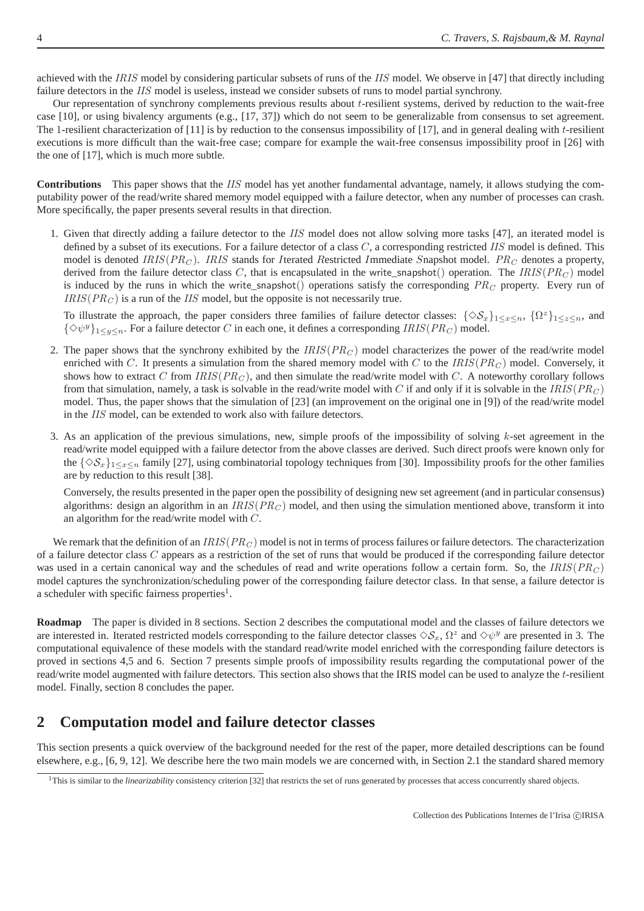achieved with the IRIS model by considering particular subsets of runs of the IIS model. We observe in [47] that directly including failure detectors in the IIS model is useless, instead we consider subsets of runs to model partial synchrony.

Our representation of synchrony complements previous results about t-resilient systems, derived by reduction to the wait-free case [10], or using bivalency arguments (e.g., [17, 37]) which do not seem to be generalizable from consensus to set agreement. The 1-resilient characterization of  $[11]$  is by reduction to the consensus impossibility of  $[17]$ , and in general dealing with t-resilient executions is more difficult than the wait-free case; compare for example the wait-free consensus impossibility proof in [26] with the one of [17], which is much more subtle.

**Contributions** This paper shows that the IIS model has yet another fundamental advantage, namely, it allows studying the computability power of the read/write shared memory model equipped with a failure detector, when any number of processes can crash. More specifically, the paper presents several results in that direction.

1. Given that directly adding a failure detector to the IIS model does not allow solving more tasks [47], an iterated model is defined by a subset of its executions. For a failure detector of a class  $C$ , a corresponding restricted  $IIS$  model is defined. This model is denoted IRIS( $PR_C$ ). IRIS stands for Iterated Restricted Immediate Snapshot model.  $PR_C$  denotes a property, derived from the failure detector class C, that is encapsulated in the write\_snapshot() operation. The IRIS( $PR_C$ ) model is induced by the runs in which the write snapshot() operations satisfy the corresponding  $PR_C$  property. Every run of  $IRIS(PR<sub>C</sub>)$  is a run of the IIS model, but the opposite is not necessarily true.

To illustrate the approach, the paper considers three families of failure detector classes:  $\{\Diamond S_x\}_{1\leq x\leq n}$ ,  $\{\Omega^z\}_{1\leq z\leq n}$ , and  $\{\diamondsuit\psi^y\}_{1\leq y\leq n}$ . For a failure detector C in each one, it defines a corresponding  $IRIS(PR_C)$  model.

- 2. The paper shows that the synchrony exhibited by the  $IRIS(PR_C)$  model characterizes the power of the read/write model enriched with C. It presents a simulation from the shared memory model with C to the  $IRIS(PR_C)$  model. Conversely, it shows how to extract C from  $IRIS(PR_C)$ , and then simulate the read/write model with C. A noteworthy corollary follows from that simulation, namely, a task is solvable in the read/write model with C if and only if it is solvable in the  $IRIS(PR_C)$ model. Thus, the paper shows that the simulation of [23] (an improvement on the original one in [9]) of the read/write model in the IIS model, can be extended to work also with failure detectors.
- 3. As an application of the previous simulations, new, simple proofs of the impossibility of solving  $k$ -set agreement in the read/write model equipped with a failure detector from the above classes are derived. Such direct proofs were known only for the  $\{\Diamond S_x\}_{1\leq x\leq n}$  family [27], using combinatorial topology techniques from [30]. Impossibility proofs for the other families are by reduction to this result [38].

Conversely, the results presented in the paper open the possibility of designing new set agreement (and in particular consensus) algorithms: design an algorithm in an  $IRIS(PR<sub>C</sub>)$  model, and then using the simulation mentioned above, transform it into an algorithm for the read/write model with C.

We remark that the definition of an  $IRIS(PR_C)$  model is not in terms of process failures or failure detectors. The characterization of a failure detector class  $C$  appears as a restriction of the set of runs that would be produced if the corresponding failure detector was used in a certain canonical way and the schedules of read and write operations follow a certain form. So, the  $IRIS(PR_C)$ model captures the synchronization/scheduling power of the corresponding failure detector class. In that sense, a failure detector is a scheduler with specific fairness properties<sup>1</sup>.

**Roadmap** The paper is divided in 8 sections. Section 2 describes the computational model and the classes of failure detectors we are interested in. Iterated restricted models corresponding to the failure detector classes  $\Diamond S_x, \Omega^z$  and  $\Diamond \psi^y$  are presented in 3. The computational equivalence of these models with the standard read/write model enriched with the corresponding failure detectors is proved in sections 4,5 and 6. Section 7 presents simple proofs of impossibility results regarding the computational power of the read/write model augmented with failure detectors. This section also shows that the IRIS model can be used to analyze the t-resilient model. Finally, section 8 concludes the paper.

## **2 Computation model and failure detector classes**

This section presents a quick overview of the background needed for the rest of the paper, more detailed descriptions can be found elsewhere, e.g., [6, 9, 12]. We describe here the two main models we are concerned with, in Section 2.1 the standard shared memory

<sup>&</sup>lt;sup>1</sup>This is similar to the *linearizability* consistency criterion [32] that restricts the set of runs generated by processes that access concurrently shared objects.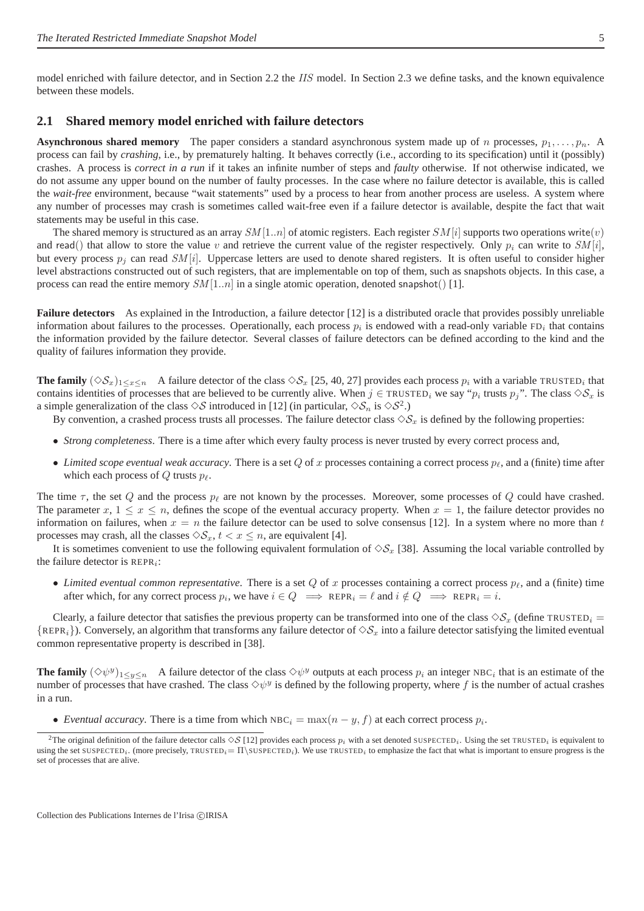model enriched with failure detector, and in Section 2.2 the IIS model. In Section 2.3 we define tasks, and the known equivalence between these models.

#### **2.1 Shared memory model enriched with failure detectors**

**Asynchronous shared memory** The paper considers a standard asynchronous system made up of n processes,  $p_1, \ldots, p_n$ . A process can fail by *crashing*, i.e., by prematurely halting. It behaves correctly (i.e., according to its specification) until it (possibly) crashes. A process is *correct in a run* if it takes an infinite number of steps and *faulty* otherwise. If not otherwise indicated, we do not assume any upper bound on the number of faulty processes. In the case where no failure detector is available, this is called the *wait-free* environment, because "wait statements" used by a process to hear from another process are useless. A system where any number of processes may crash is sometimes called wait-free even if a failure detector is available, despite the fact that wait statements may be useful in this case.

The shared memory is structured as an array  $SM[1..n]$  of atomic registers. Each register  $SM[i]$  supports two operations write(v) and read() that allow to store the value v and retrieve the current value of the register respectively. Only  $p_i$  can write to  $SM[i]$ , but every process  $p_i$  can read  $SM[i]$ . Uppercase letters are used to denote shared registers. It is often useful to consider higher level abstractions constructed out of such registers, that are implementable on top of them, such as snapshots objects. In this case, a process can read the entire memory  $SM[1..n]$  in a single atomic operation, denoted snapshot() [1].

**Failure detectors** As explained in the Introduction, a failure detector [12] is a distributed oracle that provides possibly unreliable information about failures to the processes. Operationally, each process  $p_i$  is endowed with a read-only variable FD<sub>i</sub> that contains the information provided by the failure detector. Several classes of failure detectors can be defined according to the kind and the quality of failures information they provide.

**The family**  $(\Diamond S_x)_{1 \leq x \leq n}$  A failure detector of the class  $\Diamond S_x$  [25, 40, 27] provides each process  $p_i$  with a variable TRUSTED<sub>i</sub> that contains identities of processes that are believed to be currently alive. When  $j \in \text{TRUSTED}_i$  we say " $p_i$  trusts  $p_j$ ". The class  $\diamondsuit \mathcal{S}_x$  is a simple generalization of the class  $\diamondsuit S$  introduced in [12] (in particular,  $\diamondsuit S_n$  is  $\diamondsuit S^2$ .)

By convention, a crashed process trusts all processes. The failure detector class  $\diamondsuit_{\mathcal{S}_x}$  is defined by the following properties:

- *Strong completeness*. There is a time after which every faulty process is never trusted by every correct process and,
- *Limited scope eventual weak accuracy*. There is a set  $Q$  of x processes containing a correct process  $p_\ell$ , and a (finite) time after which each process of  $Q$  trusts  $p_\ell$ .

The time  $\tau$ , the set Q and the process  $p_\ell$  are not known by the processes. Moreover, some processes of Q could have crashed. The parameter  $x, 1 \le x \le n$ , defines the scope of the eventual accuracy property. When  $x = 1$ , the failure detector provides no information on failures, when  $x = n$  the failure detector can be used to solve consensus [12]. In a system where no more than t processes may crash, all the classes  $\Diamond S_x$ ,  $t < x \le n$ , are equivalent [4].

It is sometimes convenient to use the following equivalent formulation of  $\Diamond S_x$  [38]. Assuming the local variable controlled by the failure detector is  $REPR_i$ :

• *Limited eventual common representative*. There is a set  $Q$  of x processes containing a correct process  $p_\ell$ , and a (finite) time after which, for any correct process  $p_i$ , we have  $i \in Q \implies \text{REPR}_i = \ell$  and  $i \notin Q \implies \text{REPR}_i = i$ .

Clearly, a failure detector that satisfies the previous property can be transformed into one of the class  $\Diamond S_x$  (define TRUSTED<sub>i</sub> =  ${REPR<sub>i</sub>}$ . Conversely, an algorithm that transforms any failure detector of  $\Diamond S_x$  into a failure detector satisfying the limited eventual common representative property is described in [38].

**The family**  $(\Diamond \psi^y)_{1 \leq y \leq n}$  A failure detector of the class  $\Diamond \psi^y$  outputs at each process  $p_i$  an integer NBC<sub>i</sub> that is an estimate of the number of processes that have crashed. The class  $\Diamond \psi^y$  is defined by the following property, where f is the number of actual crashes in a run.

• *Eventual accuracy*. There is a time from which  $NBC_i = \max(n - y, f)$  at each correct process  $p_i$ .

<sup>&</sup>lt;sup>2</sup>The original definition of the failure detector calls  $\Diamond S$  [12] provides each process  $p_i$  with a set denoted SUSPECTED<sub>i</sub>. Using the set TRUSTED<sub>i</sub> is equivalent to using the set SUSPECTED<sub>i</sub>. (more precisely, TRUSTED<sub>i</sub>=  $\Pi$ \SUSPECTED<sub>i</sub>). We use TRUSTED<sub>i</sub> to emphasize the fact that what is important to ensure progress is the set of processes that are alive.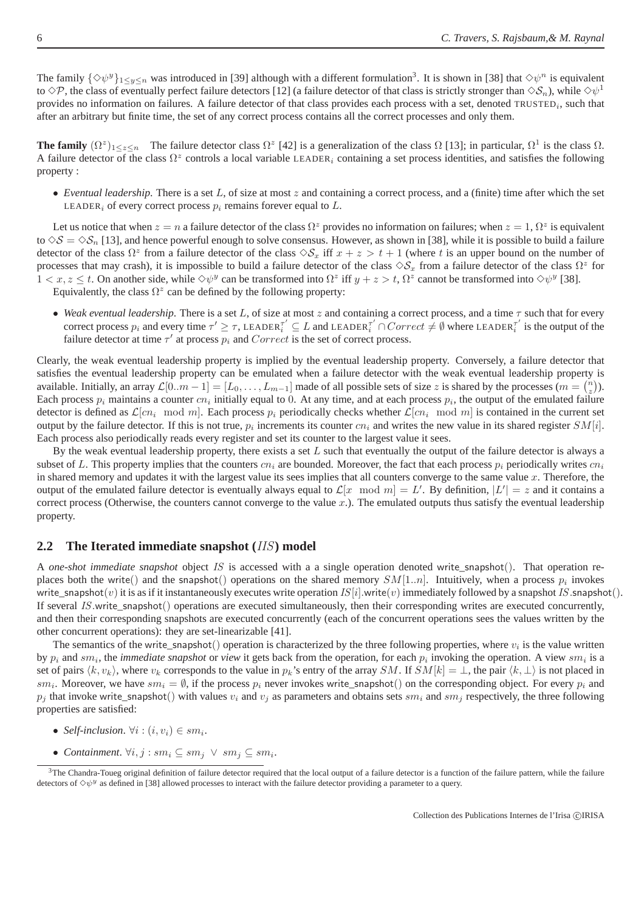The family  $\{\Diamond \psi^y\}_{1\leq y\leq n}$  was introduced in [39] although with a different formulation<sup>3</sup>. It is shown in [38] that  $\Diamond \psi^n$  is equivalent to  $\Diamond P$ , the class of eventually perfect failure detectors [12] (a failure detector of that class is strictly stronger than  $\Diamond S_n$ ), while  $\Diamond \psi^1$ provides no information on failures. A failure detector of that class provides each process with a set, denoted TRUSTED<sub>i</sub>, such that after an arbitrary but finite time, the set of any correct process contains all the correct processes and only them.

**The family**  $(\Omega^z)_{1 \leq z \leq n}$  The failure detector class  $\Omega^z$  [42] is a generalization of the class  $\Omega$  [13]; in particular,  $\Omega^1$  is the class  $\Omega$ . A failure detector of the class  $\Omega^z$  controls a local variable LEADER<sub>i</sub> containing a set process identities, and satisfies the following property :

• *Eventual leadership*. There is a set L, of size at most z and containing a correct process, and a (finite) time after which the set LEADER<sub>i</sub> of every correct process  $p_i$  remains forever equal to  $L$ .

Let us notice that when  $z = n$  a failure detector of the class  $\Omega^z$  provides no information on failures; when  $z = 1$ ,  $\Omega^z$  is equivalent to  $\Diamond S = \Diamond S_n$  [13], and hence powerful enough to solve consensus. However, as shown in [38], while it is possible to build a failure detector of the class  $\Omega^z$  from a failure detector of the class  $\Diamond S_x$  iff  $x + z > t + 1$  (where t is an upper bound on the number of processes that may crash), it is impossible to build a failure detector of the class  $\diamondsuit S_x$  from a failure detector of the class  $\Omega^z$  for  $1 < x, z \leq t$ . On another side, while  $\diamond \psi^y$  can be transformed into  $\Omega^z$  iff  $y + z > t$ ,  $\Omega^z$  cannot be transformed into  $\diamond \psi^y$  [38].

Equivalently, the class  $\Omega^z$  can be defined by the following property:

• *Weak eventual leadership*. There is a set L, of size at most z and containing a correct process, and a time  $\tau$  such that for every correct process  $p_i$  and every time  $\tau' \geq \tau$ , LEADER $\tau_i' \subseteq L$  and LEADER $\tau_i' \cap Correct \neq \emptyset$  where LEADER $\tau_i'$  $\bar{i}$  is the output of the failure detector at time  $\tau'$  at process  $p_i$  and  $Correct$  is the set of correct process.

Clearly, the weak eventual leadership property is implied by the eventual leadership property. Conversely, a failure detector that satisfies the eventual leadership property can be emulated when a failure detector with the weak eventual leadership property is available. Initially, an array  $\mathcal{L}[0..m-1] = [L_0, \ldots, L_{m-1}]$  made of all possible sets of size z is shared by the processes  $(m = \binom{n}{z})$ . Each process  $p_i$  maintains a counter  $cn_i$  initially equal to 0. At any time, and at each process  $p_i$ , the output of the emulated failure detector is defined as  $\mathcal{L}[cn_i \mod m]$ . Each process  $p_i$  periodically checks whether  $\mathcal{L}[cn_i \mod m]$  is contained in the current set output by the failure detector. If this is not true,  $p_i$  increments its counter  $cn_i$  and writes the new value in its shared register  $SM[i]$ . Each process also periodically reads every register and set its counter to the largest value it sees.

By the weak eventual leadership property, there exists a set  $L$  such that eventually the output of the failure detector is always a subset of L. This property implies that the counters  $cn_i$  are bounded. Moreover, the fact that each process  $p_i$  periodically writes  $cn_i$ in shared memory and updates it with the largest value its sees implies that all counters converge to the same value  $x$ . Therefore, the output of the emulated failure detector is eventually always equal to  $\mathcal{L}[x \mod m] = L'$ . By definition,  $|L'| = z$  and it contains a correct process (Otherwise, the counters cannot converge to the value  $x$ .). The emulated outputs thus satisfy the eventual leadership property.

#### **2.2 The Iterated immediate snapshot (**IIS**) model**

A *one-shot immediate snapshot* object IS is accessed with a a single operation denoted write\_snapshot(). That operation replaces both the write() and the snapshot() operations on the shared memory  $SM[1..n]$ . Intuitively, when a process  $p_i$  invokes write\_snapshot(v) it is as if it instantaneously executes write operation  $IS[i]$ .write(v) immediately followed by a snapshot IS.snapshot(). If several IS.write\_snapshot() operations are executed simultaneously, then their corresponding writes are executed concurrently, and then their corresponding snapshots are executed concurrently (each of the concurrent operations sees the values written by the other concurrent operations): they are set-linearizable [41].

The semantics of the write\_snapshot() operation is characterized by the three following properties, where  $v_i$  is the value written by  $p_i$  and  $sm_i$ , the *immediate snapshot* or *view* it gets back from the operation, for each  $p_i$  invoking the operation. A view  $sm_i$  is a set of pairs  $\langle k, v_k \rangle$ , where  $v_k$  corresponds to the value in  $p_k$ 's entry of the array SM. If SM[k] = ⊥, the pair  $\langle k, \perp \rangle$  is not placed in  $sm_i$ . Moreover, we have  $sm_i = \emptyset$ , if the process  $p_i$  never invokes write\_snapshot() on the corresponding object. For every  $p_i$  and  $p_i$  that invoke write\_snapshot() with values  $v_i$  and  $v_j$  as parameters and obtains sets  $sm_i$  and  $sm_i$  respectively, the three following properties are satisfied:

- *Self-inclusion.*  $\forall i : (i, v_i) \in sm_i$ .
- *Containment.*  $\forall i, j : sm_i \subseteq sm_j \lor sm_j \subseteq sm_i$ .

<sup>&</sup>lt;sup>3</sup>The Chandra-Toueg original definition of failure detector required that the local output of a failure detector is a function of the failure pattern, while the failure detectors of  $\diamond \psi^y$  as defined in [38] allowed processes to interact with the failure detector providing a parameter to a query.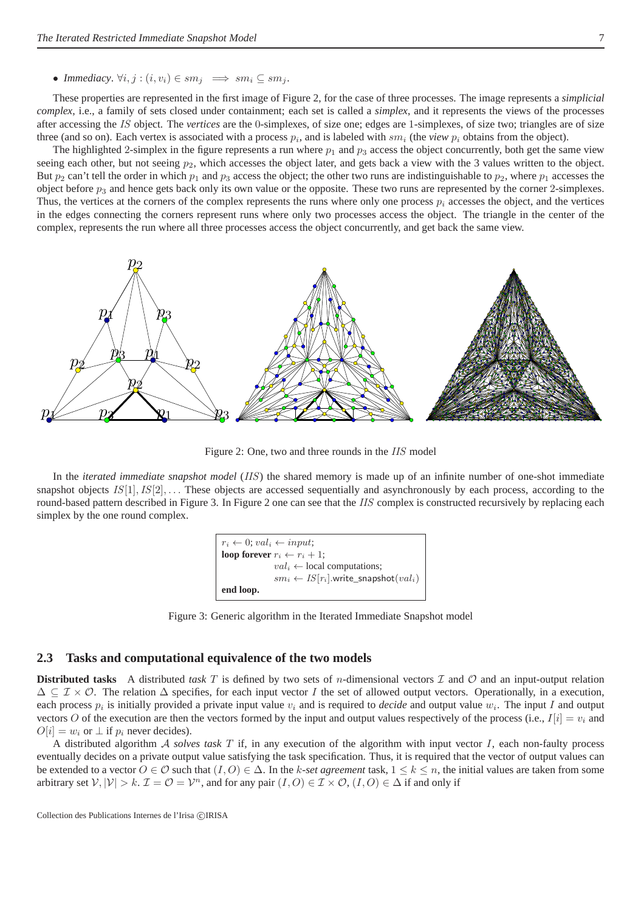These properties are represented in the first image of Figure 2, for the case of three processes. The image represents a *simplicial complex*, i.e., a family of sets closed under containment; each set is called a *simplex*, and it represents the views of the processes after accessing the IS object. The *vertices* are the 0-simplexes, of size one; edges are 1-simplexes, of size two; triangles are of size three (and so on). Each vertex is associated with a process  $p_i$ , and is labeled with  $sm_i$  (the *view*  $p_i$  obtains from the object).

The highlighted 2-simplex in the figure represents a run where  $p_1$  and  $p_3$  access the object concurrently, both get the same view seeing each other, but not seeing  $p_2$ , which accesses the object later, and gets back a view with the 3 values written to the object. But  $p_2$  can't tell the order in which  $p_1$  and  $p_3$  access the object; the other two runs are indistinguishable to  $p_2$ , where  $p_1$  accesses the object before  $p_3$  and hence gets back only its own value or the opposite. These two runs are represented by the corner 2-simplexes. Thus, the vertices at the corners of the complex represents the runs where only one process  $p_i$  accesses the object, and the vertices in the edges connecting the corners represent runs where only two processes access the object. The triangle in the center of the complex, represents the run where all three processes access the object concurrently, and get back the same view.



Figure 2: One, two and three rounds in the IIS model

In the *iterated immediate snapshot model* (IIS) the shared memory is made up of an infinite number of one-shot immediate snapshot objects  $IS[1], IS[2], \ldots$  These objects are accessed sequentially and asynchronously by each process, according to the round-based pattern described in Figure 3. In Figure 2 one can see that the IIS complex is constructed recursively by replacing each simplex by the one round complex.



Figure 3: Generic algorithm in the Iterated Immediate Snapshot model

#### **2.3 Tasks and computational equivalence of the two models**

**Distributed tasks** A distributed *task*  $T$  is defined by two sets of *n*-dimensional vectors  $T$  and  $O$  and an input-output relation  $\Delta \subseteq \mathcal{I} \times \mathcal{O}$ . The relation  $\Delta$  specifies, for each input vector I the set of allowed output vectors. Operationally, in a execution, each process  $p_i$  is initially provided a private input value  $v_i$  and is required to *decide* and output value  $w_i$ . The input I and output vectors O of the execution are then the vectors formed by the input and output values respectively of the process (i.e.,  $I[i] = v_i$  and  $O[i] = w_i$  or  $\perp$  if  $p_i$  never decides).

A distributed algorithm A *solves task* T if, in any execution of the algorithm with input vector I, each non-faulty process eventually decides on a private output value satisfying the task specification. Thus, it is required that the vector of output values can be extended to a vector  $O \in \mathcal{O}$  such that  $(I, O) \in \Delta$ . In the k-set agreement task,  $1 \leq k \leq n$ , the initial values are taken from some arbitrary set  $V, |\mathcal{V}| > k$ .  $\mathcal{I} = \mathcal{O} = \mathcal{V}^n$ , and for any pair  $(I, O) \in \mathcal{I} \times \mathcal{O}$ ,  $(I, O) \in \Delta$  if and only if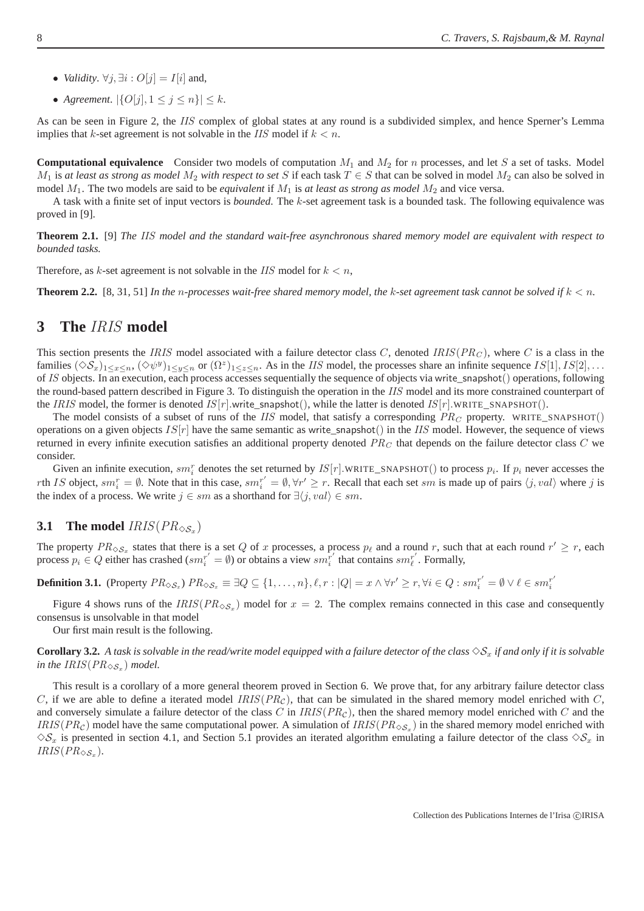- *Validity*.  $\forall j$ ,  $\exists i$  :  $O[j] = I[i]$  and,
- *Agreement*.  $|\{O[j], 1 \le j \le n\}| \le k$ .

As can be seen in Figure 2, the IIS complex of global states at any round is a subdivided simplex, and hence Sperner's Lemma implies that k-set agreement is not solvable in the *IIS* model if  $k < n$ .

**Computational equivalence** Consider two models of computation  $M_1$  and  $M_2$  for n processes, and let S a set of tasks. Model  $M_1$  is *at least as strong as model*  $M_2$  *with respect to set* S if each task  $T \in S$  that can be solved in model  $M_2$  can also be solved in model  $M_1$ . The two models are said to be *equivalent* if  $M_1$  is *at least as strong as model*  $M_2$  and vice versa.

A task with a finite set of input vectors is *bounded*. The k-set agreement task is a bounded task. The following equivalence was proved in [9].

**Theorem 2.1.** [9] *The* IIS *model and the standard wait-free asynchronous shared memory model are equivalent with respect to bounded tasks.*

Therefore, as k-set agreement is not solvable in the IIS model for  $k < n$ ,

**Theorem 2.2.** [8, 31, 51] In the n-processes wait-free shared memory model, the k-set agreement task cannot be solved if  $k < n$ .

#### **3 The** IRIS **model**

This section presents the IRIS model associated with a failure detector class  $C$ , denoted IRIS( $PR_C$ ), where  $C$  is a class in the families  $(\Diamond S_x)_{1 \leq x \leq n}, (\Diamond \psi^y)_{1 \leq y \leq n}$  or  $(\Omega^z)_{1 \leq z \leq n}$ . As in the *IIS* model, the processes share an infinite sequence  $IS[1], IS[2], \ldots$ of IS objects. In an execution, each process accesses sequentially the sequence of objects via write\_snapshot() operations, following the round-based pattern described in Figure 3. To distinguish the operation in the IIS model and its more constrained counterpart of the IRIS model, the former is denoted IS $[r]$ .write\_snapshot $($ ), while the latter is denoted IS $[r]$ .WRITE\_SNAPSHOT $($ ).

The model consists of a subset of runs of the IIS model, that satisfy a corresponding  $PR_C$  property. WRITE\_SNAPSHOT() operations on a given objects  $IS[r]$  have the same semantic as write\_snapshot() in the IIS model. However, the sequence of views returned in every infinite execution satisfies an additional property denoted  $PR_C$  that depends on the failure detector class  $C$  we consider.

Given an infinite execution,  $sm_i^r$  denotes the set returned by  $IS[r]$ .WRITE\_SNAPSHOT() to process  $p_i$ . If  $p_i$  never accesses the rth IS object, sm<sup>r</sup><sub>i</sub> = Ø. Note that in this case, sm<sup>r'</sup> = Ø,  $\forall r' \ge r$ . Recall that each set sm is made up of pairs  $\langle j, val \rangle$  where j is the index of a process. We write  $j \in sm$  as a shorthand for  $\exists \langle j, val \rangle \in sm$ .

# **3.1** The model  $IRIS(PR_{\diamondsuit S_x})$

The property  $PR_{\diamondsuit S_x}$  states that there is a set Q of x processes, a process  $p_\ell$  and a round r, such that at each round  $r' \geq r$ , each process  $p_i \in Q$  either has crashed  $(sm_i^{r'} = \emptyset)$  or obtains a view  $sm_i^{r'}$  that contains  $sm_{\ell}^{r'}$ . Formally,

**Definition 3.1.** (Property  $PR_{\diamondsuit S_x}$ )  $PR_{\diamondsuit S_x} \equiv \exists Q \subseteq \{1, ..., n\}, \ell, r : |Q| = x \wedge \forall r' \geq r, \forall i \in Q : sm_i^{r'} = \emptyset \vee \ell \in sm_i^{r'}$ i

Figure 4 shows runs of the  $IRIS(PR_{\diamondsuit S_x})$  model for  $x = 2$ . The complex remains connected in this case and consequently consensus is unsolvable in that model

Our first main result is the following.

**Corollary 3.2.** *A task is solvable in the read/write model equipped with a failure detector of the class*  $\Diamond S_x$  *if and only if it is solvable* in the  $IRIS(PR_{\diamondsuit S_x})$  model.

This result is a corollary of a more general theorem proved in Section 6. We prove that, for any arbitrary failure detector class C, if we are able to define a iterated model  $IRIS(PR<sub>C</sub>)$ , that can be simulated in the shared memory model enriched with C, and conversely simulate a failure detector of the class C in  $IRIS(PR<sub>C</sub>)$ , then the shared memory model enriched with C and the  $IRIS(PR<sub>C</sub>)$  model have the same computational power. A simulation of  $IRIS(PR<sub>\infty<sub>x</sub></sub>)$  in the shared memory model enriched with  $\Diamond S_x$  is presented in section 4.1, and Section 5.1 provides an iterated algorithm emulating a failure detector of the class  $\Diamond S_x$  in  $IRIS(PR_{\diamondsuit S_x}).$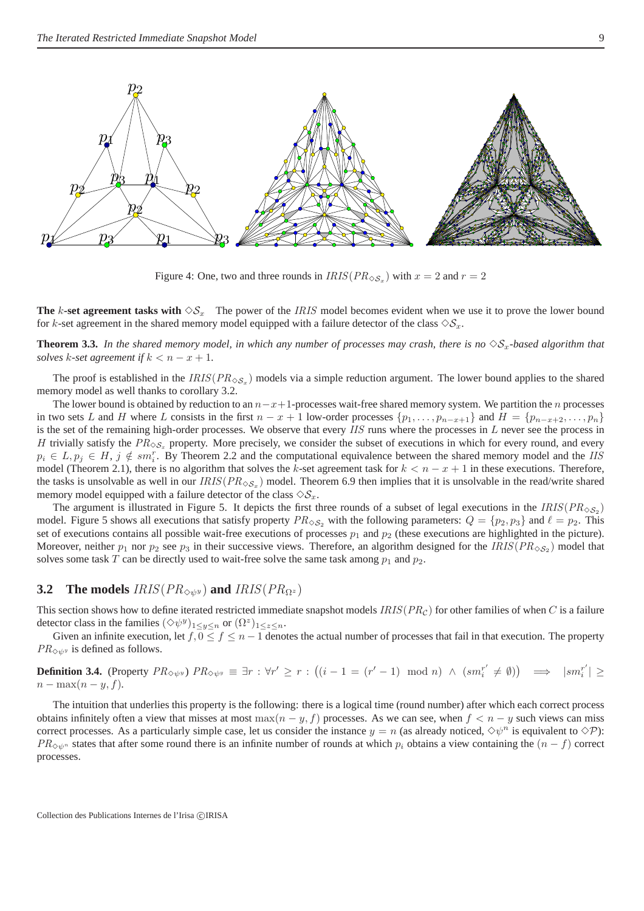

Figure 4: One, two and three rounds in  $IRIS(PR_{\diamondsuit S_x})$  with  $x = 2$  and  $r = 2$ 

**The** k-set agreement tasks with  $\Diamond S_x$ . The power of the *IRIS* model becomes evident when we use it to prove the lower bound for k-set agreement in the shared memory model equipped with a failure detector of the class  $\Diamond S_x$ .

**Theorem 3.3.** In the shared memory model, in which any number of processes may crash, there is no  $\Diamond S_x$ -based algorithm that *solves* k-set agreement if  $k < n - x + 1$ .

The proof is established in the  $IRIS(PR_{\diamondsuit S_x})$  models via a simple reduction argument. The lower bound applies to the shared memory model as well thanks to corollary 3.2.

The lower bound is obtained by reduction to an  $n-x+1$ -processes wait-free shared memory system. We partition the n processes in two sets L and H where L consists in the first  $n - x + 1$  low-order processes  $\{p_1, \ldots, p_{n-x+1}\}$  and  $H = \{p_{n-x+2}, \ldots, p_n\}$ is the set of the remaining high-order processes. We observe that every IIS runs where the processes in L never see the process in H trivially satisfy the  $PR_{\diamondsuit S_x}$  property. More precisely, we consider the subset of executions in which for every round, and every  $p_i \in L$ ,  $p_j \in H$ ,  $j \notin sm_i^r$ . By Theorem 2.2 and the computational equivalence between the shared memory model and the IIS model (Theorem 2.1), there is no algorithm that solves the k-set agreement task for  $k < n - x + 1$  in these executions. Therefore, the tasks is unsolvable as well in our  $IRIS(PR_{\diamond S_x})$  model. Theorem 6.9 then implies that it is unsolvable in the read/write shared memory model equipped with a failure detector of the class  $\Diamond S_x$ .

The argument is illustrated in Figure 5. It depicts the first three rounds of a subset of legal executions in the  $IRIS(PR_{\diamond S_2})$ model. Figure 5 shows all executions that satisfy property  $PR_{\diamondsuit S_2}$  with the following parameters:  $Q = \{p_2, p_3\}$  and  $\ell = p_2$ . This set of executions contains all possible wait-free executions of processes  $p_1$  and  $p_2$  (these executions are highlighted in the picture). Moreover, neither  $p_1$  nor  $p_2$  see  $p_3$  in their successive views. Therefore, an algorithm designed for the  $IRIS(PR_{\diamondsuit S_2})$  model that solves some task T can be directly used to wait-free solve the same task among  $p_1$  and  $p_2$ .

#### **3.2** The models  $IRIS(PR_{\diamondsuit y}y)$  and  $IRIS(PR_{\Omega^z})$

This section shows how to define iterated restricted immediate snapshot models  $IRIS(PR_C)$  for other families of when C is a failure detector class in the families  $(\Diamond \psi^y)_{1 \leq y \leq n}$  or  $(\Omega^z)_{1 \leq z \leq n}$ .

Given an infinite execution, let  $f, 0 \le f \le n - 1$  denotes the actual number of processes that fail in that execution. The property  $PR_{\Diamond y}$  is defined as follows.

**Definition 3.4.** (Property  $PR_{\diamondsuit \psi^y}$ )  $PR_{\diamondsuit \psi^y} \equiv \exists r : \forall r' \geq r : ((i - 1 = (r' - 1) \mod n) \land (sm_i^{r'}$  $\begin{array}{cc} r' \neq \emptyset) \end{array} \implies \quad |sm_i^{r'}$  $\binom{r'}{i}$   $\geq$  $n - \max(n - y, f)$ .

The intuition that underlies this property is the following: there is a logical time (round number) after which each correct process obtains infinitely often a view that misses at most max( $n - y$ , f) processes. As we can see, when  $f < n - y$  such views can miss correct processes. As a particularly simple case, let us consider the instance  $y = n$  (as already noticed,  $\diamond \psi^n$  is equivalent to  $\diamond \mathcal{P}$ ):  $PR_{\Diamond y}$  states that after some round there is an infinite number of rounds at which  $p_i$  obtains a view containing the  $(n - f)$  correct processes.

Collection des Publications Internes de l'Irisa ©IRISA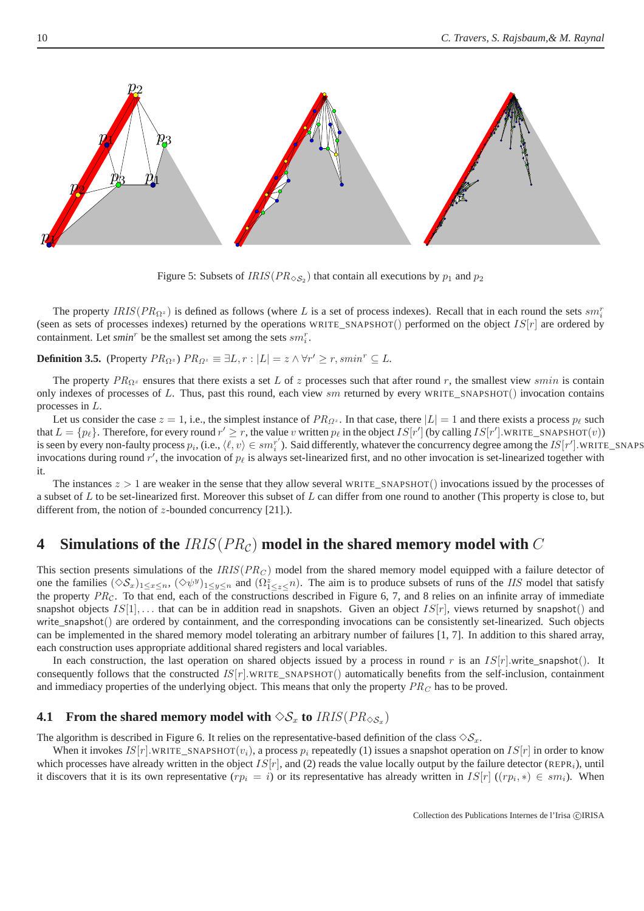

Figure 5: Subsets of  $IRIS(PR_{\diamondsuit S_2})$  that contain all executions by  $p_1$  and  $p_2$ 

The property  $IRIS(PR_{\Omega^z})$  is defined as follows (where L is a set of process indexes). Recall that in each round the sets  $sm_i^r$ (seen as sets of processes indexes) returned by the operations WRITE\_SNAPSHOT() performed on the object  $IS[r]$  are ordered by containment. Let *smin*<sup>*r*</sup> be the smallest set among the sets  $sm_i^r$ .

**Definition 3.5.** (Property  $PR_{\Omega^z}$ )  $PR_{\Omega^z} \equiv \exists L, r : |L| = z \land \forall r' \geq r, smin^r \subseteq L$ .

The property  $PR_{\Omega^z}$  ensures that there exists a set L of z processes such that after round r, the smallest view smin is contain only indexes of processes of L. Thus, past this round, each view  $sm$  returned by every WRITE\_SNAPSHOT() invocation contains processes in L.

Let us consider the case  $z = 1$ , i.e., the simplest instance of  $PR_{\Omega^z}$ . In that case, there  $|L| = 1$  and there exists a process  $p_\ell$  such that  $L = \{p_\ell\}$ . Therefore, for every round  $r' \ge r$ , the value v written  $p_\ell$  in the object  $IS[r']$  (by calling  $IS[r']$ .WRITE\_SNAPSHOT $(v)$ ) is seen by every non-faulty process  $p_i$ , (i.e.,  $\langle \ell, v \rangle \in sm_i^{r'}$  $i'$ ). Said differently, whatever the concurrency degree among the  $IS[r']$ .WRITE\_SNAPS invocations during round r', the invocation of  $p_\ell$  is always set-linearized first, and no other invocation is set-linearized together with it.

The instances  $z > 1$  are weaker in the sense that they allow several WRITE\_SNAPSHOT() invocations issued by the processes of a subset of  $L$  to be set-linearized first. Moreover this subset of  $L$  can differ from one round to another (This property is close to, but different from, the notion of z-bounded concurrency [21].).

## **4** Simulations of the  $IRIS(PR_C)$  model in the shared memory model with C

This section presents simulations of the  $IRIS(PR<sub>C</sub>)$  model from the shared memory model equipped with a failure detector of one the families  $(\Diamond S_x)_{1 \leq x \leq n}$ ,  $(\Diamond \psi^y)_{1 \leq y \leq n}$  and  $(\Omega^z_{1 \leq z \leq n})$ . The aim is to produce subsets of runs of the *IIS* model that satisfy the property  $PR_{\mathcal{C}}$ . To that end, each of the constructions described in Figure 6, 7, and 8 relies on an infinite array of immediate snapshot objects  $IS[1], \ldots$  that can be in addition read in snapshots. Given an object  $IS[r]$ , views returned by snapshot() and write  $s$ napshot $()$  are ordered by containment, and the corresponding invocations can be consistently set-linearized. Such objects can be implemented in the shared memory model tolerating an arbitrary number of failures [1, 7]. In addition to this shared array, each construction uses appropriate additional shared registers and local variables.

In each construction, the last operation on shared objects issued by a process in round r is an  $IS[r]$  write\_snapshot(). It consequently follows that the constructed  $IS[r]$ .WRITE\_SNAPSHOT() automatically benefits from the self-inclusion, containment and immediacy properties of the underlying object. This means that only the property  $PR_C$  has to be proved.

# **4.1** From the shared memory model with  $\Diamond S_x$  to  $IRIS(PR_{\Diamond S_x})$

The algorithm is described in Figure 6. It relies on the representative-based definition of the class  $\Diamond S_x$ .

When it invokes  $IS[r]$ .WRITE\_SNAPSHOT( $v_i$ ), a process  $p_i$  repeatedly (1) issues a snapshot operation on  $IS[r]$  in order to know which processes have already written in the object  $IS[r]$ , and (2) reads the value locally output by the failure detector (REPR<sub>i</sub>), until it discovers that it is its own representative  $(r p_i = i)$  or its representative has already written in  $IS[r]$   $((r p_i, *) \in sm_i)$ . When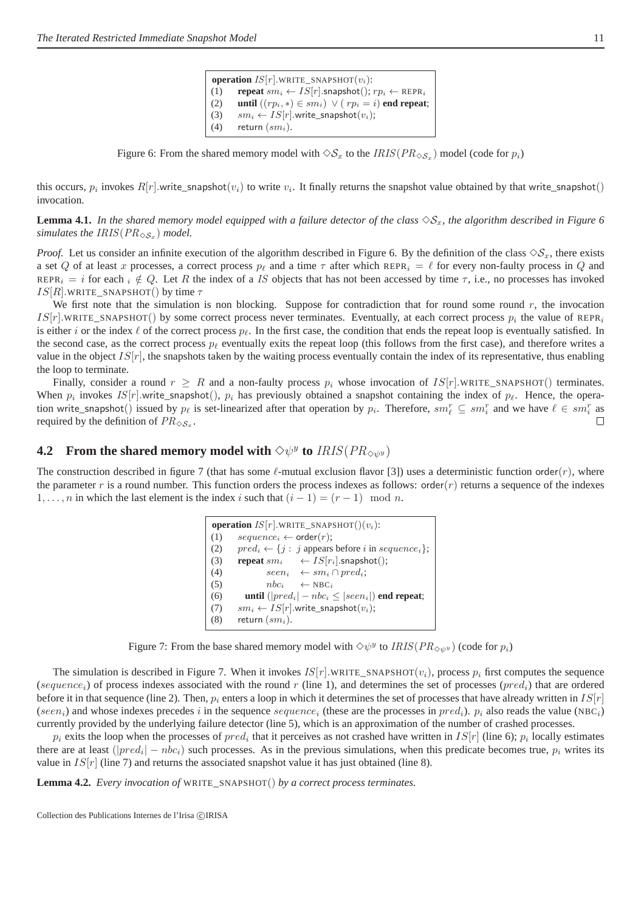**operation**  $IS[r]$ .WRITE\_SNAPSHOT $(v_i)$ : (1) **repeat**  $sm_i \leftarrow IS[r]$ . snapshot $(i; rp_i \leftarrow \text{REPR}_i$ (2) **until**  $((rp_i, *) \in sm_i) \lor (rp_i = i)$  **end repeat**; (3)  $sm_i \leftarrow IS[r]$ .write\_snapshot $(v_i)$ ; (4) return  $(sm_i)$ .

Figure 6: From the shared memory model with  $\Diamond S_x$  to the  $IRIS(PR_{\Diamond S_x})$  model (code for  $p_i$ )

this occurs,  $p_i$  invokes  $R[r]$  write\_snapshot $(v_i)$  to write  $v_i$ . It finally returns the snapshot value obtained by that write\_snapshot() invocation.

**Lemma 4.1.** In the shared memory model equipped with a failure detector of the class  $\Diamond S_x$ , the algorithm described in Figure 6 simulates the  $IRIS(PR_{\diamondsuit S_x})$  model.

*Proof.* Let us consider an infinite execution of the algorithm described in Figure 6. By the definition of the class  $\Diamond S_x$ , there exists a set Q of at least x processes, a correct process  $p_\ell$  and a time  $\tau$  after which REPR<sub>i</sub> =  $\ell$  for every non-faulty process in Q and REPR<sub>i</sub> = i for each  $i \notin Q$ . Let R the index of a IS objects that has not been accessed by time  $\tau$ , i.e., no processes has invoked  $IS[R]$ .WRITE\_SNAPSHOT() by time  $\tau$ 

We first note that the simulation is non blocking. Suppose for contradiction that for round some round  $r$ , the invocation  $IS[r]$ .WRITE\_SNAPSHOT() by some correct process never terminates. Eventually, at each correct process  $p_i$  the value of REPR<sub>i</sub> is either i or the index  $\ell$  of the correct process  $p_{\ell}$ . In the first case, the condition that ends the repeat loop is eventually satisfied. In the second case, as the correct process  $p_{\ell}$  eventually exits the repeat loop (this follows from the first case), and therefore writes a value in the object  $IS[r]$ , the snapshots taken by the waiting process eventually contain the index of its representative, thus enabling the loop to terminate.

Finally, consider a round  $r \geq R$  and a non-faulty process  $p_i$  whose invocation of  $IS[r]$ .WRITE\_SNAPSHOT() terminates. When  $p_i$  invokes  $IS[r]$  write\_snapshot(),  $p_i$  has previously obtained a snapshot containing the index of  $p_\ell$ . Hence, the operation write\_snapshot() issued by  $p_\ell$  is set-linearized after that operation by  $p_i$ . Therefore,  $sm_\ell^r \subseteq sm_i^r$  and we have  $\ell \in sm_i^r$  as required by the definition of  $PR_{\diamondsuit S_x}$ .  $\Box$ 

# **4.2** From the shared memory model with  $\Diamond \psi^y$  to  $IRIS(PR_{\Diamond \psi^y})$

The construction described in figure 7 (that has some  $\ell$ -mutual exclusion flavor [3]) uses a deterministic function order(r), where the parameter r is a round number. This function orders the process indexes as follows: order $(r)$  returns a sequence of the indexes 1, ..., *n* in which the last element is the index *i* such that  $(i - 1) = (r - 1) \mod n$ .

> **operation**  $IS[r]$ .WRITE\_SNAPSHOT $() (v_i)$ : (1)  $sequence_i \leftarrow order(r);$ (2)  $pred_i \leftarrow \{j : j$  appears before i in sequence<sub>i</sub>}; (3) **repeat**  $sm_i \leftarrow IS[r_i]$ . snapshot(); (4)  $seen_i \leftarrow sm_i \cap pred_i;$ (5)  $nbc_i \leftarrow \text{NBC}_i$ (6) **until**  $(|pred_i| - nbc_i \leq |seen_i|)$  **end repeat**; (7)  $sm_i \leftarrow IS[r]$ .write\_snapshot $(v_i)$ ; (8) return  $(sm_i)$ .

Figure 7: From the base shared memory model with  $\Diamond \psi^y$  to  $IRIS(PR_{\Diamond \psi^y})$  (code for  $p_i$ )

The simulation is described in Figure 7. When it invokes  $IS[r]$ .WRITE\_SNAPSHOT $(v_i)$ , process  $p_i$  first computes the sequence (sequence<sub>i</sub>) of process indexes associated with the round r (line 1), and determines the set of processes (pred<sub>i</sub>) that are ordered before it in that sequence (line 2). Then,  $p_i$  enters a loop in which it determines the set of processes that have already written in  $IS[r]$ (seen<sub>i</sub>) and whose indexes precedes i in the sequence sequence<sub>i</sub> (these are the processes in  $pred_i$ ).  $p_i$  also reads the value (NBC<sub>i</sub>) currently provided by the underlying failure detector (line 5), which is an approximation of the number of crashed processes.

 $p_i$  exits the loop when the processes of  $pred_i$  that it perceives as not crashed have written in  $IS[r]$  (line 6);  $p_i$  locally estimates there are at least  $(|pred_i| - nbc_i)$  such processes. As in the previous simulations, when this predicate becomes true,  $p_i$  writes its value in  $IS[r]$  (line 7) and returns the associated snapshot value it has just obtained (line 8).

**Lemma 4.2.** *Every invocation of* WRITE\_SNAPSHOT() *by a correct process terminates.*

Collection des Publications Internes de l'Irisa ©IRISA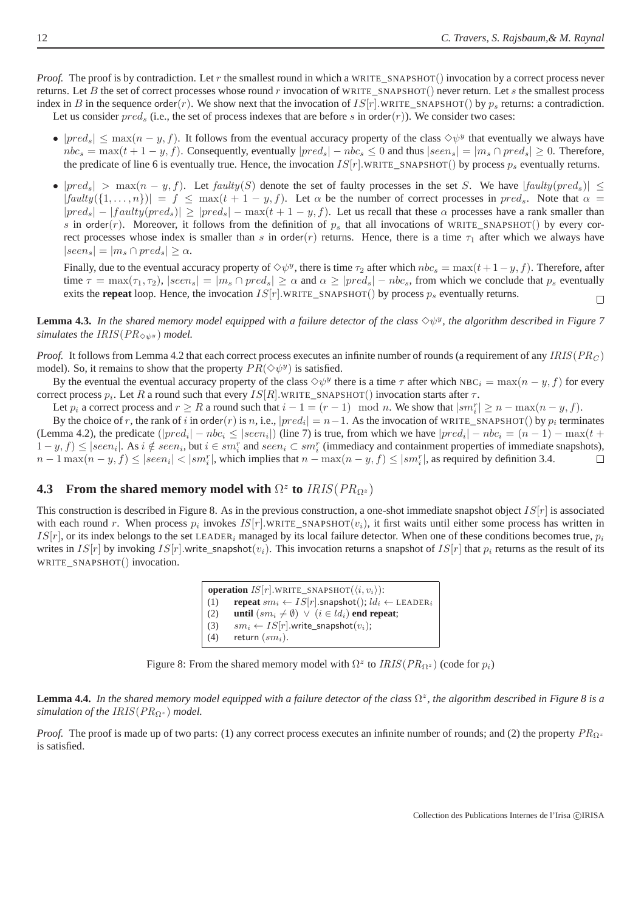*Proof.* The proof is by contradiction. Let r the smallest round in which a WRITE\_SNAPSHOT() invocation by a correct process never returns. Let B the set of correct processes whose round r invocation of WRITE\_SNAPSHOT() never return. Let s the smallest process index in B in the sequence order(r). We show next that the invocation of  $IS[r]$ .WRITE\_SNAPSHOT() by  $p_s$  returns: a contradiction. Let us consider  $pred_s$  (i.e., the set of process indexes that are before s in order(r)). We consider two cases:

- $|pred_s| \leq max(n y, f)$ . It follows from the eventual accuracy property of the class  $\Diamond \psi^y$  that eventually we always have  $nbc_s = \max(t+1-y, f)$ . Consequently, eventually  $|pred_s| - nbc_s \leq 0$  and thus  $|seen_s| = |m_s \cap pred_s| \geq 0$ . Therefore, the predicate of line 6 is eventually true. Hence, the invocation  $IS[r]$ .WRITE\_SNAPSHOT() by process  $p_s$  eventually returns.
- $|pred_s| > \max(n y, f)$ . Let faulty(S) denote the set of faulty processes in the set S. We have  $|faulty(pred_s)| \le$  $|faulty(\{1,\ldots,n\})| = f \le \max(t+1-y,f)$ . Let  $\alpha$  be the number of correct processes in  $pred_s$ . Note that  $\alpha =$  $|pred_s| - |faulty(pred_s)| \ge |pred_s| - max(t + 1 - y, f)$ . Let us recall that these  $\alpha$  processes have a rank smaller than s in order(r). Moreover, it follows from the definition of  $p_s$  that all invocations of WRITE\_SNAPSHOT() by every correct processes whose index is smaller than s in order(r) returns. Hence, there is a time  $\tau_1$  after which we always have  $|seen_s| = |m_s \cap pred_s| \geq \alpha.$

Finally, due to the eventual accuracy property of  $\diamond \psi^y$ , there is time  $\tau_2$  after which  $nbc_s = \max(t+1-y, f)$ . Therefore, after time  $\tau = \max(\tau_1, \tau_2)$ ,  $|seen_s| = |m_s \cap pred_s| \ge \alpha$  and  $\alpha \ge |pred_s| - nbc_s$ , from which we conclude that  $p_s$  eventually exits the **repeat** loop. Hence, the invocation  $IS[r]$ .WRITE\_SNAPSHOT() by process  $p_s$  eventually returns.  $\Box$ 

**Lemma 4.3.** In the shared memory model equipped with a failure detector of the class  $\Diamond \psi^y$ , the algorithm described in Figure 7 *simulates the IRIS*( $PR_{\diamondsuit\psi^y}$ ) *model.* 

*Proof.* It follows from Lemma 4.2 that each correct process executes an infinite number of rounds (a requirement of any  $IRIS(PR_C)$ ) model). So, it remains to show that the property  $PR(\Diamond \psi^y)$  is satisfied.

By the eventual the eventual accuracy property of the class  $\Diamond \psi^y$  there is a time  $\tau$  after which NBC<sub>i</sub> = max $(n - y, f)$  for every correct process  $p_i$ . Let R a round such that every  $IS[R]$ .WRITE\_SNAPSHOT() invocation starts after  $\tau$ .

Let  $p_i$  a correct process and  $r \ge R$  a round such that  $i - 1 = (r - 1) \mod n$ . We show that  $|sm_i^r| \ge n - \max(n - y, f)$ .

By the choice of r, the rank of i in order(r) is n, i.e.,  $|pred_i| = n-1$ . As the invocation of WRITE\_SNAPSHOT() by  $p_i$  terminates (Lemma 4.2), the predicate  $(|pred_i| - nbc_i \leq |seen_i|)$  (line 7) is true, from which we have  $|pred_i| - nbc_i = (n-1) - \max(t + b_i)$  $1-y, f$ )  $\leq$  |seen<sub>i</sub>|. As  $i \notin seen_i$ , but  $i \in sm_i^r$  and seen $i \subset sm_i^r$  (immediacy and containment properties of immediate snapshots),  $n-1\max(n-y,f) \leq |seen_i| < |sm_i^r|$ , which implies that  $n-\max(n-y,f) \leq |sm_i^r|$ , as required by definition 3.4.  $\Box$ 

# **4.3** From the shared memory model with  $\Omega^z$  to  $IRIS(PR_{\Omega^z})$

This construction is described in Figure 8. As in the previous construction, a one-shot immediate snapshot object  $IS[r]$  is associated with each round r. When process  $p_i$  invokes  $IS[r]$ .WRITE\_SNAPSHOT $(v_i)$ , it first waits until either some process has written in  $IS[r]$ , or its index belongs to the set LEADER<sub>i</sub> managed by its local failure detector. When one of these conditions becomes true,  $p_i$ writes in  $IS[r]$  by invoking  $IS[r]$ .write snapshot( $v_i$ ). This invocation returns a snapshot of  $IS[r]$  that  $p_i$  returns as the result of its WRITE\_SNAPSHOT() invocation.

> **operation**  $IS[r]$ .WRITE\_SNAPSHOT $(\langle i, v_i \rangle)$ : (1) **repeat**  $sm_i \leftarrow IS[r]$ .snapshot();  $ld_i \leftarrow$  LEADER<sub>i</sub> (2) **until**  $(sm_i \neq \emptyset) \lor (i \in ld_i)$  **end repeat**; (3)  $sm_i \leftarrow IS[r]$ .write\_snapshot $(v_i)$ ; (4) return  $(sm_i)$ .

Figure 8: From the shared memory model with  $\Omega^z$  to  $IRIS(PR_{\Omega^z})$  (code for  $p_i$ )

**Lemma 4.4.** In the shared memory model equipped with a failure detector of the class  $\Omega^z$ , the algorithm described in Figure 8 is a *simulation of the IRIS*( $PR_{\Omega^z}$ ) *model.* 

*Proof.* The proof is made up of two parts: (1) any correct process executes an infinite number of rounds; and (2) the property  $PR_{\Omega^2}$ is satisfied.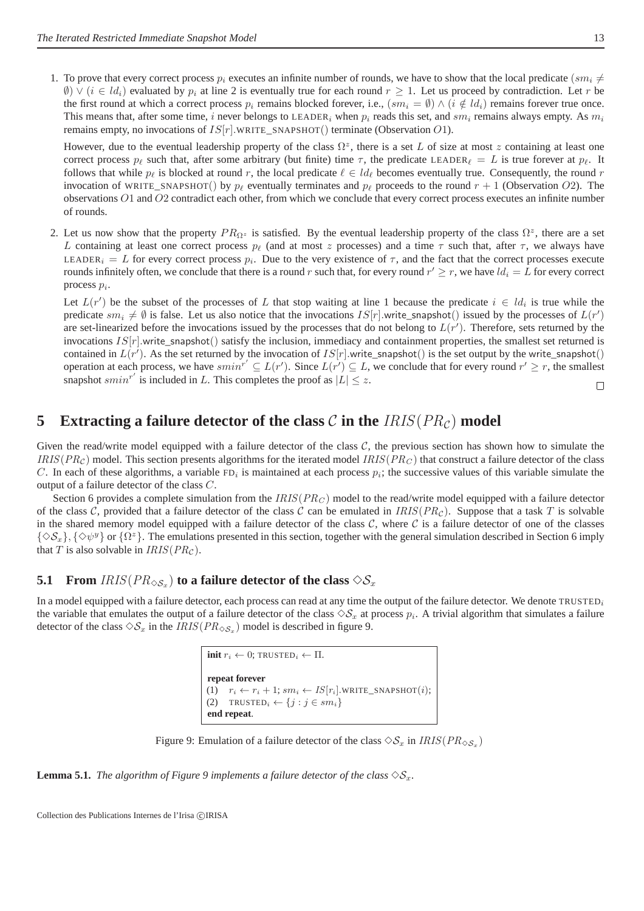1. To prove that every correct process  $p_i$  executes an infinite number of rounds, we have to show that the local predicate ( $sm_i \neq$  $\emptyset$ )  $\vee$  (i  $\in$  ld<sub>i</sub>) evaluated by  $p_i$  at line 2 is eventually true for each round  $r > 1$ . Let us proceed by contradiction. Let r be the first round at which a correct process  $p_i$  remains blocked forever, i.e.,  $(sm_i = \emptyset) \wedge (i \notin ld_i)$  remains forever true once. This means that, after some time, i never belongs to LEADER<sub>i</sub> when  $p_i$  reads this set, and  $sm_i$  remains always empty. As  $m_i$ remains empty, no invocations of  $IS[r]$ .WRITE\_SNAPSHOT() terminate (Observation O1).

However, due to the eventual leadership property of the class  $\Omega^z$ , there is a set L of size at most z containing at least one correct process  $p_\ell$  such that, after some arbitrary (but finite) time  $\tau$ , the predicate LEADER<sub> $\ell$ </sub> = L is true forever at  $p_\ell$ . It follows that while  $p_\ell$  is blocked at round r, the local predicate  $\ell \in \mathcal{ld}_\ell$  becomes eventually true. Consequently, the round r invocation of WRITE\_SNAPSHOT() by  $p_\ell$  eventually terminates and  $p_\ell$  proceeds to the round  $r + 1$  (Observation O2). The observations O1 and O2 contradict each other, from which we conclude that every correct process executes an infinite number of rounds.

2. Let us now show that the property  $PR_{\Omega^z}$  is satisfied. By the eventual leadership property of the class  $\Omega^z$ , there are a set L containing at least one correct process  $p_\ell$  (and at most z processes) and a time  $\tau$  such that, after  $\tau$ , we always have LEADER<sub>i</sub> = L for every correct process  $p_i$ . Due to the very existence of  $\tau$ , and the fact that the correct processes execute rounds infinitely often, we conclude that there is a round  $r$  such that, for every round  $r' \geq r$ , we have  $ld_i = L$  for every correct process  $p_i$ .

Let  $L(r')$  be the subset of the processes of L that stop waiting at line 1 because the predicate  $i \in \mathcal{U}_i$  is true while the predicate  $sm_i \neq \emptyset$  is false. Let us also notice that the invocations  $IS[r]$  write\_snapshot() issued by the processes of  $L(r')$ are set-linearized before the invocations issued by the processes that do not belong to  $L(r')$ . Therefore, sets returned by the invocations  $IS[r]$ .write\_snapshot() satisfy the inclusion, immediacy and containment properties, the smallest set returned is contained in  $L(r')$ . As the set returned by the invocation of  $IS[r]$  write\_snapshot() is the set output by the write\_snapshot() operation at each process, we have  $smin^{r'} \subseteq L(r')$ . Since  $L(r') \subseteq L$ , we conclude that for every round  $r' \ge r$ , the smallest snapshot  $smin^{r'}$  is included in L. This completes the proof as  $|L| \leq z$ .  $\Box$ 

## **5** Extracting a failure detector of the class C in the  $IRIS(PR<sub>C</sub>)$  model

Given the read/write model equipped with a failure detector of the class  $C$ , the previous section has shown how to simulate the  $IRIS(PR<sub>C</sub>)$  model. This section presents algorithms for the iterated model  $IRIS(PR<sub>C</sub>)$  that construct a failure detector of the class C. In each of these algorithms, a variable  $FD_i$  is maintained at each process  $p_i$ ; the successive values of this variable simulate the output of a failure detector of the class C.

Section 6 provides a complete simulation from the  $IRIS(PR<sub>C</sub>)$  model to the read/write model equipped with a failure detector of the class C, provided that a failure detector of the class C can be emulated in  $IRIS(PR<sub>C</sub>)$ . Suppose that a task T is solvable in the shared memory model equipped with a failure detector of the class  $C$ , where  $C$  is a failure detector of one of the classes  $\{\Diamond S_x\}, \{\Diamond \psi^y\}$  or  $\{\Omega^z\}$ . The emulations presented in this section, together with the general simulation described in Section 6 imply that T is also solvable in  $IRIS(PR<sub>C</sub>)$ .

# **5.1** From  $IRIS(PR_{\diamondsuit S_x})$  to a failure detector of the class  $\diamondsuit S_x$

In a model equipped with a failure detector, each process can read at any time the output of the failure detector. We denote  $TRUSTED_i$ the variable that emulates the output of a failure detector of the class  $\Diamond S_x$  at process  $p_i$ . A trivial algorithm that simulates a failure detector of the class  $\Diamond S_x$  in the  $IRIS(PR_{\Diamond S_x})$  model is described in figure 9.

> **init**  $r_i \leftarrow 0$ ; TRUSTED<sub>i</sub>  $\leftarrow \Pi$ . **repeat forever** (1)  $r_i \leftarrow r_i + 1; sm_i \leftarrow IS[r_i].\text{WRITE\_SNAPSHOT}(i);$ (2) TRUSTED<sub>i</sub>  $\leftarrow \{j : j \in sm_i\}$ **end repeat**.

Figure 9: Emulation of a failure detector of the class  $\diamondsuit \mathcal{S}_x$  in  $IRIS(PR_{\diamondsuit \mathcal{S}_x})$ 

**Lemma 5.1.** *The algorithm of Figure 9 implements a failure detector of the class*  $\Diamond S_x$ .

Collection des Publications Internes de l'Irisa ©IRISA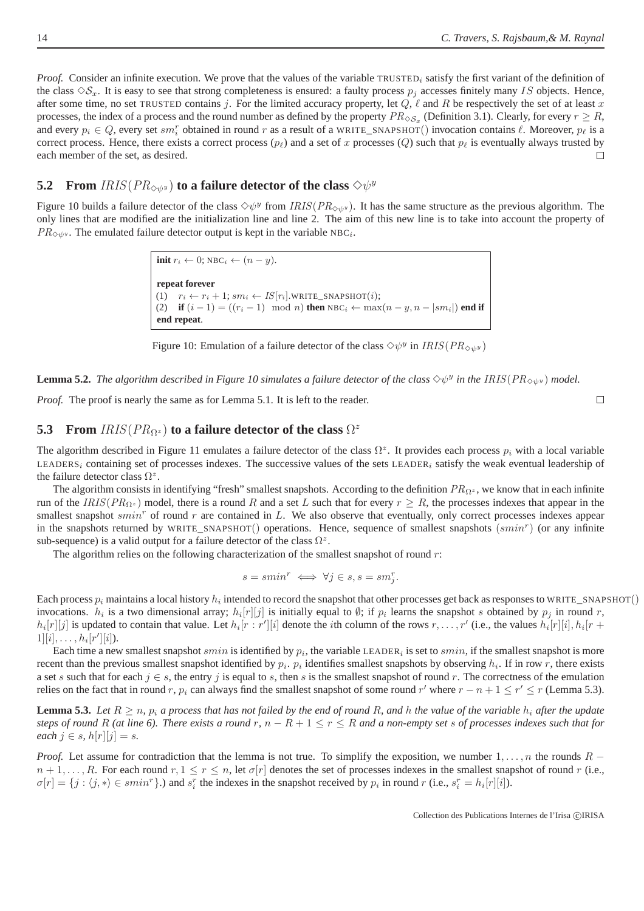*Proof.* Consider an infinite execution. We prove that the values of the variable TRUSTED<sub>i</sub> satisfy the first variant of the definition of the class  $\diamondsuit S_x$ . It is easy to see that strong completeness is ensured: a faulty process  $p_i$  accesses finitely many IS objects. Hence, after some time, no set TRUSTED contains j. For the limited accuracy property, let  $Q$ ,  $\ell$  and  $R$  be respectively the set of at least x processes, the index of a process and the round number as defined by the property  $PR_{\diamondsuit S_x}$  (Definition 3.1). Clearly, for every  $r \geq R$ , and every  $p_i \in Q$ , every set  $sm_i^r$  obtained in round r as a result of a WRITE\_SNAPSHOT() invocation contains  $\ell$ . Moreover,  $p_\ell$  is a correct process. Hence, there exists a correct process  $(p_\ell)$  and a set of x processes  $(Q)$  such that  $p_\ell$  is eventually always trusted by each member of the set, as desired.  $\Box$ 

# **5.2** From  $IRIS(PR_{\diamondsuit\psi^y})$  to a failure detector of the class  $\diamondsuit\psi^y$

Figure 10 builds a failure detector of the class  $\Diamond \psi^y$  from  $IRIS(PR_{\Diamond \psi^y})$ . It has the same structure as the previous algorithm. The only lines that are modified are the initialization line and line 2. The aim of this new line is to take into account the property of  $PR_{\diamondsuit \psi^y}$ . The emulated failure detector output is kept in the variable NBC<sub>i</sub>.

> **init**  $r_i \leftarrow 0$ ; NBC<sub>i</sub>  $\leftarrow (n - y)$ . **repeat forever** (1)  $r_i \leftarrow r_i + 1; sm_i \leftarrow IS[r_i].\text{WRITE\_SNAPSHOT}(i);$ (2) **if**  $(i - 1) = ((r_i - 1) \mod n)$  **then** NBC<sub>i</sub> ← max $(n - y, n - |sm_i|)$  **end if end repeat**.

Figure 10: Emulation of a failure detector of the class  $\diamondsuit \psi^y$  in  $IRIS(PR_{\diamondsuit \psi^y})$ 

**Lemma 5.2.** The algorithm described in Figure 10 simulates a failure detector of the class  $\Diamond \psi^y$  in the IRIS( $PR_{\Diamond \psi^y}$ ) model.

*Proof.* The proof is nearly the same as for Lemma 5.1. It is left to the reader.

# **5.3** From  $IRIS(PR_{\Omega^z})$  to a failure detector of the class  $\Omega^z$

The algorithm described in Figure 11 emulates a failure detector of the class  $\Omega^z$ . It provides each process  $p_i$  with a local variable LEADERS<sub>i</sub> containing set of processes indexes. The successive values of the sets LEADER<sub>i</sub> satisfy the weak eventual leadership of the failure detector class  $\Omega^z$ .

The algorithm consists in identifying "fresh" smallest snapshots. According to the definition  $PR_{\Omega^z}$ , we know that in each infinite run of the  $IRIS(PR_{\Omega^z})$  model, there is a round R and a set L such that for every  $r \geq R$ , the processes indexes that appear in the smallest snapshot *smin*<sup>r</sup> of round r are contained in L. We also observe that eventually, only correct processes indexes appear in the snapshots returned by WRITE\_SNAPSHOT $()$  operations. Hence, sequence of smallest snapshots  $(smin<sup>r</sup>)$  (or any infinite sub-sequence) is a valid output for a failure detector of the class  $\Omega^z$ .

The algorithm relies on the following characterization of the smallest snapshot of round  $r$ :

$$
s = smin^r \iff \forall j \in s, s = sm_j^r.
$$

Each process  $p_i$  maintains a local history  $h_i$  intended to record the snapshot that other processes get back as responses to WRITE\_SNAPSHOT() invocations.  $h_i$  is a two dimensional array;  $h_i[r][j]$  is initially equal to  $\emptyset$ ; if  $p_i$  learns the snapshot s obtained by  $p_j$  in round r,  $h_i[r][j]$  is updated to contain that value. Let  $h_i[r:r'][i]$  denote the *i*th column of the rows  $r, \ldots, r'$  (i.e., the values  $h_i[r][i], h_i[r+1]$  $1][i], \ldots, h_i[r'][i]).$ 

Each time a new smallest snapshot  $smin$  is identified by  $p_i$ , the variable LEADER<sub>i</sub> is set to  $smin$ , if the smallest snapshot is more recent than the previous smallest snapshot identified by  $p_i$ .  $p_i$  identifies smallest snapshots by observing  $h_i$ . If in row r, there exists a set s such that for each  $j \in s$ , the entry j is equal to s, then s is the smallest snapshot of round r. The correctness of the emulation relies on the fact that in round r,  $p_i$  can always find the smallest snapshot of some round r' where  $r - n + 1 \le r' \le r$  (Lemma 5.3).

**Lemma 5.3.** Let  $R \ge n$ ,  $p_i$  *a process that has not failed by the end of round* R, and h *the value of the variable*  $h_i$  *after the update steps of round* R (at line 6). There exists a round r,  $n - R + 1 \le r \le R$  and a non-empty set s of processes indexes such that for *each*  $j \in s$ ,  $h[r][j] = s$ .

*Proof.* Let assume for contradiction that the lemma is not true. To simplify the exposition, we number  $1, \ldots, n$  the rounds  $R$  $n+1,\ldots,R$ . For each round  $r, 1 \leq r \leq n$ , let  $\sigma[r]$  denotes the set of processes indexes in the smallest snapshot of round r (i.e.,  $\sigma[r] = \{j : \langle j, * \rangle \in \mathit{smin}^r\}$ .) and  $s_i^r$  the indexes in the snapshot received by  $p_i$  in round  $r$  (i.e.,  $s_i^r = h_i[r][i]$ ).

 $\Box$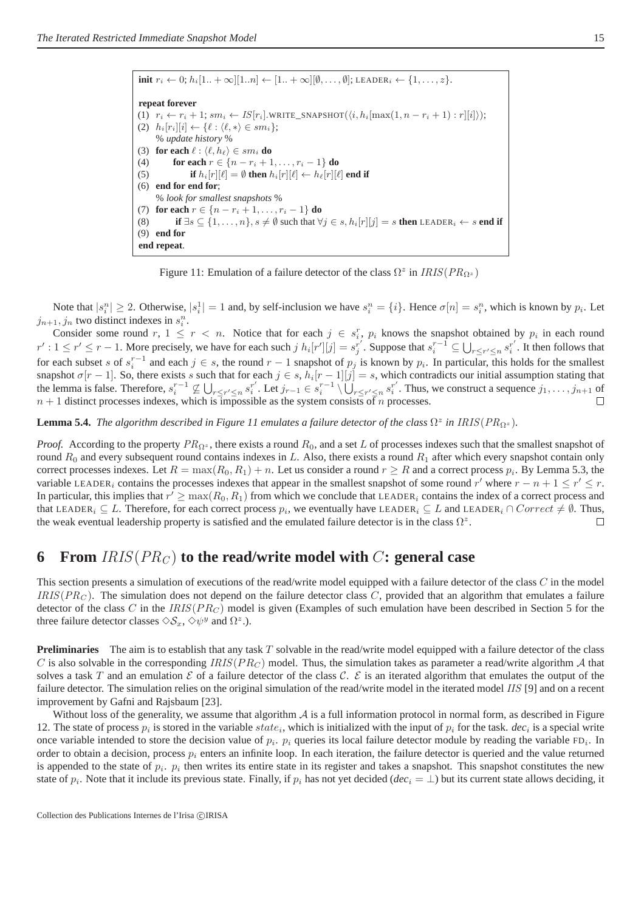| <b>init</b> $r_i \leftarrow 0$ ; $h_i[1 + \infty][1n] \leftarrow [1 + \infty][\emptyset, , \emptyset]$ ; LEADER <sub>i</sub> $\leftarrow \{1, , z\}$ .     |
|------------------------------------------------------------------------------------------------------------------------------------------------------------|
|                                                                                                                                                            |
| repeat forever                                                                                                                                             |
| (1) $r_i \leftarrow r_i + 1$ ; $sm_i \leftarrow IS[r_i]$ . WRITE_SNAPSHOT $(\langle i, h_i   \max(1, n - r_i + 1) : r   [i] \rangle)$ ;                    |
| (2) $h_i[r_i][i] \leftarrow {\ell : \langle \ell, * \rangle \in sm_i};$                                                                                    |
| % <i>update history</i> %                                                                                                                                  |
| (3) for each $\ell : \langle \ell, h_\ell \rangle \in sm_i$ do                                                                                             |
| for each $r \in \{n - r_i + 1, , r_i - 1\}$ do<br>(4)                                                                                                      |
| if $h_i[r][\ell] = \emptyset$ then $h_i[r][\ell] \leftarrow h_\ell[r][\ell]$ end if<br>(5)                                                                 |
| (6)<br>end for end for:                                                                                                                                    |
| % look for smallest snapshots %                                                                                                                            |
| (7) for each $r \in \{n - r_i + 1, \ldots, r_i - 1\}$ do                                                                                                   |
| if $\exists s \subseteq \{1,\ldots,n\}, s \neq \emptyset$ such that $\forall j \in s, h_i[r][j] = s$ then LEADER <sub>i</sub> $\leftarrow s$ end if<br>(8) |
| (9)<br>end for                                                                                                                                             |
| end repeat.                                                                                                                                                |

Figure 11: Emulation of a failure detector of the class  $\Omega^z$  in  $IRIS(PR_{\Omega^z})$ 

Note that  $|s_i^n| \ge 2$ . Otherwise,  $|s_i^1| = 1$  and, by self-inclusion we have  $s_i^n = \{i\}$ . Hence  $\sigma[n] = s_i^n$ , which is known by  $p_i$ . Let  $j_{n+1}, j_n$  two distinct indexes in  $s_i^n$ .

Consider some round  $r, 1 \leq r < n$ . Notice that for each  $j \in s_i^r$ ,  $p_i$  knows the snapshot obtained by  $p_i$  in each round  $r': 1 \le r' \le r-1$ . More precisely, we have for each such  $j h_i[r'][j] = s_j^{r'}$ . Suppose that  $s_i^{r-1} \subseteq \bigcup_{r \le r' \le n} s_i^{r'}$ . It then follows that for each subset s of  $s_i^{r-1}$  and each  $j \in s$ , the round  $r-1$  snapshot of  $p_j$  is known by  $p_i$ . In particular, this holds for the smallest snapshot  $\sigma[r-1]$ . So, there exists s such that for each  $j \in s$ ,  $h_i[r-1][j] = s$ , which contradicts our initial assumption stating that the lemma is false. Therefore,  $s_i^{r-1} \nsubseteq \bigcup_{r \leq r' \leq n} s_i^{r'}$ r'. Let  $j_{r-1} \in s_i^{r-1} \setminus \bigcup_{r \leq r' \leq n}^{r} s_i^{r'}$  $i<sup>r</sup>$ . Thus, we construct a sequence  $j_1, \ldots, j_{n+1}$  of  $n + 1$  distinct processes indexes, which is impossible as the system consists of n processes.  $\Box$ 

**Lemma 5.4.** *The algorithm described in Figure 11 emulates a failure detector of the class*  $\Omega^z$  *in IRIS*( $PR_{\Omega^z}$ ).

*Proof.* According to the property  $PR_{\Omega^z}$ , there exists a round  $R_0$ , and a set L of processes indexes such that the smallest snapshot of round  $R_0$  and every subsequent round contains indexes in L. Also, there exists a round  $R_1$  after which every snapshot contain only correct processes indexes. Let  $R = \max(R_0, R_1) + n$ . Let us consider a round  $r \ge R$  and a correct process  $p_i$ . By Lemma 5.3, the variable LEADER<sub>i</sub> contains the processes indexes that appear in the smallest snapshot of some round r' where  $r - n + 1 \le r' \le r$ . In particular, this implies that  $r' \ge \max(R_0, R_1)$  from which we conclude that LEADER<sub>i</sub> contains the index of a correct process and that LEADER<sub>i</sub> ⊆ L. Therefore, for each correct process  $p_i$ , we eventually have LEADER<sub>i</sub> ⊆ L and LEADER<sub>i</sub> ∩ Correct  $\neq \emptyset$ . Thus, the weak eventual leadership property is satisfied and the emulated failure detector is in the class  $\Omega^z$ .  $\Box$ 

### **6** From  $IRIS(PR_C)$  to the read/write model with C: general case

This section presents a simulation of executions of the read/write model equipped with a failure detector of the class  $C$  in the model  $IRIS(PR<sub>C</sub>)$ . The simulation does not depend on the failure detector class C, provided that an algorithm that emulates a failure detector of the class C in the  $IRIS(PR<sub>C</sub>)$  model is given (Examples of such emulation have been described in Section 5 for the three failure detector classes  $\Diamond S_x$ ,  $\Diamond \psi^y$  and  $\Omega^z$ .).

**Preliminaries** The aim is to establish that any task T solvable in the read/write model equipped with a failure detector of the class C is also solvable in the corresponding IRIS( $PR_C$ ) model. Thus, the simulation takes as parameter a read/write algorithm A that solves a task T and an emulation  $\mathcal E$  of a failure detector of the class  $\mathcal C$ .  $\mathcal E$  is an iterated algorithm that emulates the output of the failure detector. The simulation relies on the original simulation of the read/write model in the iterated model IIS [9] and on a recent improvement by Gafni and Rajsbaum [23].

Without loss of the generality, we assume that algorithm  $A$  is a full information protocol in normal form, as described in Figure 12. The state of process  $p_i$  is stored in the variable  $state_i$ , which is initialized with the input of  $p_i$  for the task. *dec<sub>i</sub>* is a special write once variable intended to store the decision value of  $p_i$ .  $p_i$  queries its local failure detector module by reading the variable  $FD_i$ . In order to obtain a decision, process  $p_i$  enters an infinite loop. In each iteration, the failure detector is queried and the value returned is appended to the state of  $p_i$ .  $p_i$  then writes its entire state in its register and takes a snapshot. This snapshot constitutes the new state of  $p_i$ . Note that it include its previous state. Finally, if  $p_i$  has not yet decided ( $dec_i = \perp$ ) but its current state allows deciding, it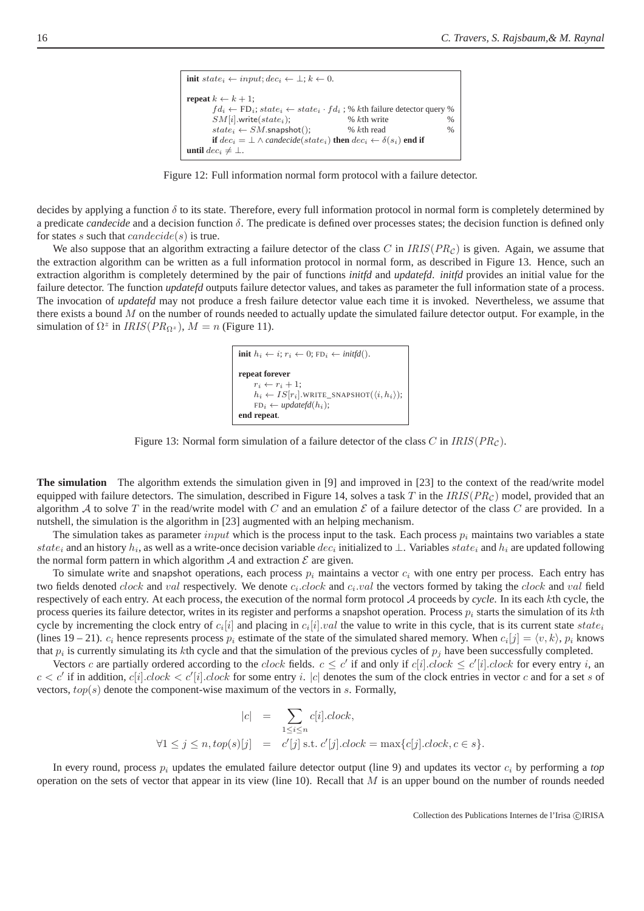```
init state<sub>i</sub> \leftarrow input; dec_i \leftarrow \bot; k \leftarrow 0.
repeat k \leftarrow k + 1;
          fd_i \leftarrow FD_i; state_i \leftarrow state_i \cdot fd_i; % kth failure detector query %
         SM[i].write(state_i);<br>
state_i \leftarrow SM.\text{snapshot}(); % kth read %
          state_i \leftarrow SM.\text{snapshot}(); % kth read
         if dec_i = \perp \wedge candecide(state_i) then dec_i \leftarrow \delta(s_i) end if
until dec_i \neq \bot.
```
Figure 12: Full information normal form protocol with a failure detector.

decides by applying a function  $\delta$  to its state. Therefore, every full information protocol in normal form is completely determined by a predicate *candecide* and a decision function δ. The predicate is defined over processes states; the decision function is defined only for states s such that  $canded(s)$  is true.

We also suppose that an algorithm extracting a failure detector of the class C in  $IRIS(PR<sub>C</sub>)$  is given. Again, we assume that the extraction algorithm can be written as a full information protocol in normal form, as described in Figure 13. Hence, such an extraction algorithm is completely determined by the pair of functions *initfd* and *updatefd*. *initfd* provides an initial value for the failure detector. The function *updatefd* outputs failure detector values, and takes as parameter the full information state of a process. The invocation of *updatefd* may not produce a fresh failure detector value each time it is invoked. Nevertheless, we assume that there exists a bound  $M$  on the number of rounds needed to actually update the simulated failure detector output. For example, in the simulation of  $\Omega^z$  in  $IRIS(PR_{\Omega^z})$ ,  $M = n$  (Figure 11).

> **init**  $h_i \leftarrow i$ ;  $r_i \leftarrow 0$ ; FD<sub>i</sub>  $\leftarrow \text{initfd}()$ . **repeat forever**  $r_i \leftarrow r_i + 1;$  $h_i \leftarrow IS[r_i]$ .WRITE\_SNAPSHOT $(\langle i, h_i \rangle);$  $FD_i \leftarrow updatefd(h_i);$ **end repeat**.

Figure 13: Normal form simulation of a failure detector of the class C in  $IRIS(PR<sub>C</sub>)$ .

**The simulation** The algorithm extends the simulation given in [9] and improved in [23] to the context of the read/write model equipped with failure detectors. The simulation, described in Figure 14, solves a task T in the  $IRIS(PR<sub>C</sub>)$  model, provided that an algorithm A to solve T in the read/write model with C and an emulation  $\mathcal E$  of a failure detector of the class C are provided. In a nutshell, the simulation is the algorithm in [23] augmented with an helping mechanism.

The simulation takes as parameter *input* which is the process input to the task. Each process  $p_i$  maintains two variables a state state<sub>i</sub> and an history  $h_i$ , as well as a write-once decision variable  $dec_i$  initialized to  $\perp$ . Variables state<sub>i</sub> and  $h_i$  are updated following the normal form pattern in which algorithm  $A$  and extraction  $E$  are given.

To simulate write and snapshot operations, each process  $p_i$  maintains a vector  $c_i$  with one entry per process. Each entry has two fields denoted  $clock$  and val respectively. We denote  $c_i.close$  and  $c_i.val$  the vectors formed by taking the  $clock$  and val field respectively of each entry. At each process, the execution of the normal form protocol A proceeds by *cycle*. In its each kth cycle, the process queries its failure detector, writes in its register and performs a snapshot operation. Process  $p_i$  starts the simulation of its kth cycle by incrementing the clock entry of  $c_i[i]$  and placing in  $c_i[i].val$  the value to write in this cycle, that is its current state  $state_i$ (lines 19 – 21).  $c_i$  hence represents process  $p_i$  estimate of the state of the simulated shared memory. When  $c_i[j] = \langle v, k \rangle$ ,  $p_i$  knows that  $p_i$  is currently simulating its kth cycle and that the simulation of the previous cycles of  $p_j$  have been successfully completed.

Vectors c are partially ordered according to the clock fields.  $c \le c'$  if and only if  $c[i].clock \le c'[i].clock$  for every entry i, an  $c < c'$  if in addition,  $c[i].clock < c'[i].clock$  for some entry i.  $|c|$  denotes the sum of the clock entries in vector c and for a set s of vectors,  $top(s)$  denote the component-wise maximum of the vectors in  $s$ . Formally,

$$
|c| = \sum_{1 \le i \le n} c[i].clock,
$$
  

$$
\forall 1 \le j \le n, top(s)[j] = c'[j] \text{ s.t. } c'[j].clock = \max\{c[j].clock, c \in s\}.
$$

In every round, process  $p_i$  updates the emulated failure detector output (line 9) and updates its vector  $c_i$  by performing a *top* operation on the sets of vector that appear in its view (line 10). Recall that  $M$  is an upper bound on the number of rounds needed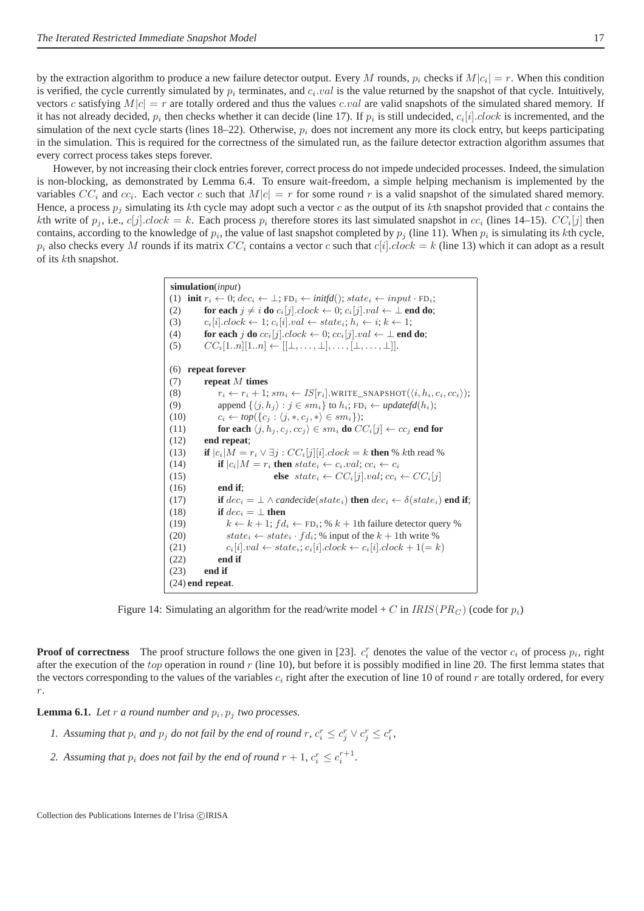by the extraction algorithm to produce a new failure detector output. Every M rounds,  $p_i$  checks if  $M|c_i| = r$ . When this condition is verified, the cycle currently simulated by  $p_i$  terminates, and  $c_i.val$  is the value returned by the snapshot of that cycle. Intuitively, vectors c satisfying  $M|c| = r$  are totally ordered and thus the values c.val are valid snapshots of the simulated shared memory. If it has not already decided,  $p_i$  then checks whether it can decide (line 17). If  $p_i$  is still undecided,  $c_i[i].clock$  is incremented, and the simulation of the next cycle starts (lines  $18-22$ ). Otherwise,  $p_i$  does not increment any more its clock entry, but keeps participating in the simulation. This is required for the correctness of the simulated run, as the failure detector extraction algorithm assumes that every correct process takes steps forever.

However, by not increasing their clock entries forever, correct process do not impede undecided processes. Indeed, the simulation is non-blocking, as demonstrated by Lemma 6.4. To ensure wait-freedom, a simple helping mechanism is implemented by the variables  $CC_i$  and  $cc_i$ . Each vector c such that  $M|c| = r$  for some round r is a valid snapshot of the simulated shared memory. Hence, a process  $p_i$  simulating its kth cycle may adopt such a vector c as the output of its kth snapshot provided that c contains the kth write of  $p_j$ , i.e.,  $c[j]$ . *clock* = k. Each process  $p_i$  therefore stores its last simulated snapshot in  $cc_i$  (lines 14–15).  $CC_i[j]$  then contains, according to the knowledge of  $p_i$ , the value of last snapshot completed by  $p_j$  (line 11). When  $p_i$  is simulating its kth cycle,  $p_i$  also checks every M rounds if its matrix  $CC_i$  contains a vector c such that  $c[i].clock = k$  (line 13) which it can adopt as a result of its kth snapshot.

> **simulation**(*input*) (1) **init**  $r_i \leftarrow 0$ ;  $dec_i \leftarrow \bot$ ; FD<sub>i</sub>  $\leftarrow$  *initfd*();  $state_i \leftarrow input \cdot FD_i$ ; (2) **for each**  $j \neq i$  **do**  $c_i[j].clock \leftarrow 0; c_i[j].val \leftarrow \perp$  **end do**; (3)  $c_i[i].clock \leftarrow 1; c_i[i].val \leftarrow state_i; h_i \leftarrow i; k \leftarrow 1;$ (4) **for each** j **do**  $cc_i[j].clock \leftarrow 0; cc_i[j].val \leftarrow \perp$  **end do**; (5)  $CC_i[1..n][1..n] \leftarrow [[\perp,...,\perp],...,[\perp,...,\perp]].$ (6) **repeat forever** (7) **repeat** M **times** (8)  $r_i \leftarrow r_i + 1; sm_i \leftarrow IS[r_i].\text{WRITE\_SNAPSHOT}(\langle i, h_i, c_i, cc_i \rangle);$ (9) append  $\{\langle j, h_j \rangle : j \in sm_i\}$  to  $h_i$ ; FD<sub>i</sub>  $\leftarrow \textit{updatefd}(h_i)$ ; (10)  $c_i \leftarrow top(\{c_j : \langle j, *, c_j, * \rangle \in sm_i\});$ (11) **for each**  $\langle j, h_j, c_j, cc_j \rangle \in sm_i$  **do**  $CC_i[j] \leftarrow cc_j$  **end for** (12) **end repeat**; (13) **if**  $|c_i|M = r_i \vee \exists j : CC_i[j][i].clock = k$  **then** % kth read % (14) **if**  $|c_i|M = r_i$  **then**  $state_i \leftarrow c_i.val; cc_i \leftarrow c_i$ (15) **else**  $state_i \leftarrow CC_i[j].val; cc_i \leftarrow CC_i[j]$ (16) **end if**; (17) **if**  $dec_i = \bot \wedge$  *candecide*( $state_i$ ) **then**  $dec_i \leftarrow \delta(state_i)$  **end if**; (18) **if**  $dec_i = \perp$  **then** (19)  $k \leftarrow k + 1$ ;  $fd_i \leftarrow FD_i$ ; %  $k + 1$ th failure detector query % (20)  $state_i \leftarrow state_i \cdot fd_i$ ; % input of the  $k + 1$ th write % (21)  $c_i[i].val \leftarrow state_i; c_i[i].clock \leftarrow c_i[i].clock + 1(= k)$ (22) **end if** (23) **end if** (24) **end repeat**.

Figure 14: Simulating an algorithm for the read/write model + C in IRIS( $PR_C$ ) (code for  $p_i$ )

**Proof of correctness** The proof structure follows the one given in [23].  $c_i^r$  denotes the value of the vector  $c_i$  of process  $p_i$ , right after the execution of the top operation in round  $r$  (line 10), but before it is possibly modified in line 20. The first lemma states that the vectors corresponding to the values of the variables  $c_i$  right after the execution of line 10 of round r are totally ordered, for every  $r$ .

**Lemma 6.1.** Let  $r$  a round number and  $p_i$ ,  $p_j$  two processes.

- *1.* Assuming that  $p_i$  and  $p_j$  do not fail by the end of round  $r, c_i^r \leq c_j^r \vee c_j^r \leq c_i^r$ ,
- 2. Assuming that  $p_i$  does not fail by the end of round  $r + 1$ ,  $c_i^r \leq c_i^{r+1}$ .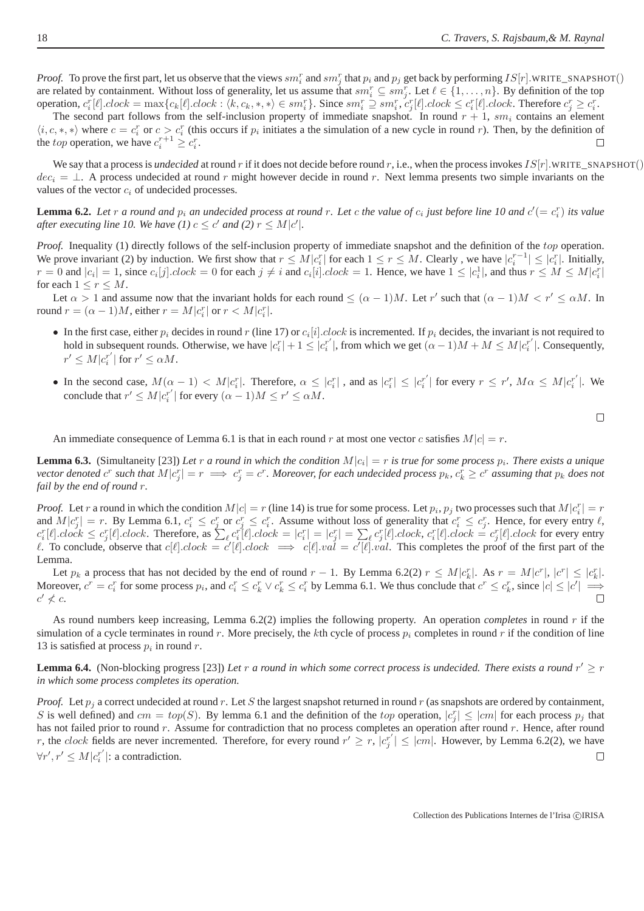*Proof.* To prove the first part, let us observe that the views  $sm_i^r$  and  $sm_j^r$  that  $p_i$  and  $p_j$  get back by performing  $IS[r]$ .WRITE\_SNAPSHOT() are related by containment. Without loss of generality, let us assume that  $sm_i^r \subseteq sm_j^r$ . Let  $\ell \in \{1, ..., n\}$ . By definition of the top operation,  $c_i^r[\ell].clock = \max\{c_k[\ell].clock : \langle k, c_k, *, *\rangle \in sm_i^r\}$ . Since  $sm_i^r \supseteq sm_i^r$ ,  $c_j^r[\ell].clock \leq c_i^r[\ell].clock$ . Therefore  $c_j^r \geq c_i^r$ .

The second part follows from the self-inclusion property of immediate snapshot. In round  $r + 1$ , sm<sub>i</sub> contains an element  $\langle i, c, *, * \rangle$  where  $c = c_i^r$  or  $c > c_i^r$  (this occurs if  $p_i$  initiates a the simulation of a new cycle in round r). Then, by the definition of the *top* operation, we have  $c_i^{r+1} \ge c_i^r$ .  $\Box$ 

We say that a process is *undecided* at round r if it does not decide before round r, i.e., when the process invokes  $IS[r]$ .WRITE\_SNAPSHOT()  $dec_i = \perp$ . A process undecided at round r might however decide in round r. Next lemma presents two simple invariants on the values of the vector  $c_i$  of undecided processes.

**Lemma 6.2.** Let r a round and  $p_i$  an undecided process at round r. Let c the value of  $c_i$  just before line 10 and  $c' (= c_i^r)$  its value *after executing line 10. We have* (1)  $c \leq c'$  *and* (2)  $r \leq M|c'|$ *.* 

*Proof.* Inequality (1) directly follows of the self-inclusion property of immediate snapshot and the definition of the top operation. We prove invariant (2) by induction. We first show that  $r \leq M |c_i^r|$  for each  $1 \leq r \leq M$ . Clearly, we have  $|c_i^{r-1}| \leq |c_i^r|$ . Initially,  $r = 0$  and  $|c_i| = 1$ , since  $c_i[j]$ .clock = 0 for each  $j \neq i$  and  $c_i[i]$ .clock = 1. Hence, we have  $1 \leq |c_i^1|$ , and thus  $r \leq M \leq M|c_i^r|$ for each  $1 \leq r \leq M$ .

Let  $\alpha > 1$  and assume now that the invariant holds for each round  $\leq (\alpha - 1)M$ . Let r' such that  $(\alpha - 1)M < r' \leq \alpha M$ . In round  $r = (\alpha - 1)M$ , either  $r = M|c_i^r|$  or  $r < M|c_i^r|$ .

- In the first case, either  $p_i$  decides in round r (line 17) or  $c_i[i]$ . *clock* is incremented. If  $p_i$  decides, the invariant is not required to hold in subsequent rounds. Otherwise, we have  $|c_i^r| + 1 \leq |c_i^{r'}|$ , from which we get  $(\alpha - 1)M + M \leq M|c_i^{r'}|$ . Consequently,  $r' \leq M | c_i^{r'}$  $\int_i^{r'}$  for  $r' \leq \alpha M$ .
- In the second case,  $M(\alpha 1) < M|c_i^r|$ . Therefore,  $\alpha \leq |c_i^r|$ , and as  $|c_i^r| \leq |c_i^r|$  $\left| \int_{i}^{r'} \right|$  for every  $r \leq r'$ ,  $M \alpha \leq M | c_i^{r'}$  $i^r$ |. We conclude that  $r' \leq M|c_i^{r'}$  $\binom{r'}{i}$  for every  $(\alpha - 1)M \le r' \le \alpha M$ .

 $\Box$ 

An immediate consequence of Lemma 6.1 is that in each round r at most one vector c satisfies  $M|c| = r$ .

**Lemma 6.3.** (Simultaneity [23]) Let r a round in which the condition  $M|c_i| = r$  is true for some process  $p_i$ . There exists a unique  $s$  *vector denoted*  $c^r$  such that  $M|c_j^r| = r \implies c_j^r = c^r$ . Moreover, for each undecided process  $p_k$ ,  $c_k^r \ge c^r$  assuming that  $p_k$  does not *fail by the end of round* r*.*

*Proof.* Let r a round in which the condition  $M|c| = r$  (line 14) is true for some process. Let  $p_i$ ,  $p_j$  two processes such that  $M|c_i^r| = r$ and  $M|c_j^r| = r$ . By Lemma 6.1,  $c_i^r \leq c_j^r$  or  $c_j^r \leq c_i^r$ . Assume without loss of generality that  $c_i^r \leq c_j^r$ . Hence, for every entry  $\ell$ ,  $c_i^r[\ell].clock \leq c_j^r[\ell].clock.$  Therefore, as  $\sum_{\ell} c_i^r[\ell].clock = |c_i^r| = |c_j^r| = \sum_{\ell} c_j^r[\ell].clock, c_i^r[\ell].clock = c_j^r[\ell].clock$  for every entry l. To conclude, observe that  $c[\ell].clock = c'[\ell].clock \implies c[\ell].val = c'[\ell].val$ . This completes the proof of the first part of the Lemma.

Let  $p_k$  a process that has not decided by the end of round  $r-1$ . By Lemma 6.2(2)  $r \leq M |c_k^r|$ . As  $r = M |c^r|, |c^r| \leq |c_k^r|$ . Moreover,  $c^r = c_i^r$  for some process  $p_i$ , and  $c_i^r \le c_k^r \vee c_k^r \le c_i^r$  by Lemma 6.1. We thus conclude that  $c^r \le c_k^r$ , since  $|c| \le |c'| \implies$  $c' \nless c.$ 

As round numbers keep increasing, Lemma 6.2(2) implies the following property. An operation *completes* in round r if the simulation of a cycle terminates in round r. More precisely, the kth cycle of process  $p_i$  completes in round r if the condition of line 13 is satisfied at process  $p_i$  in round r.

**Lemma 6.4.** (Non-blocking progress [23]) *Let*  $r$  *a round in which some correct process is undecided. There exists a round*  $r' \geq r$ *in which some process completes its operation.*

*Proof.* Let  $p_i$  a correct undecided at round r. Let S the largest snapshot returned in round r (as snapshots are ordered by containment, S is well defined) and  $cm = top(S)$ . By lemma 6.1 and the definition of the top operation,  $|c_j^r| \le |cm|$  for each process  $p_j$  that has not failed prior to round  $r$ . Assume for contradiction that no process completes an operation after round  $r$ . Hence, after round r, the clock fields are never incremented. Therefore, for every round  $r' \ge r$ ,  $|c_i^r\rangle$  $|f'_{j}| \le |cm|$ . However, by Lemma 6.2(2), we have  $\forall r', r' \leq M | c_i^{r'}$  $\binom{r'}{i}$ : a contradiction.  $\Box$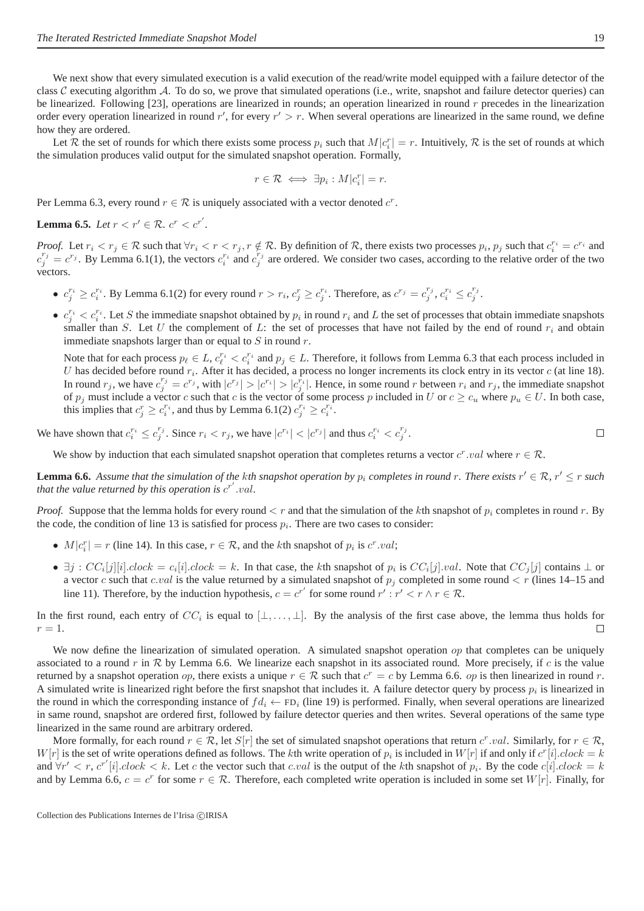We next show that every simulated execution is a valid execution of the read/write model equipped with a failure detector of the class C executing algorithm A. To do so, we prove that simulated operations (i.e., write, snapshot and failure detector queries) can be linearized. Following [23], operations are linearized in rounds; an operation linearized in round  $r$  precedes in the linearization order every operation linearized in round  $r'$ , for every  $r' > r$ . When several operations are linearized in the same round, we define how they are ordered.

Let R the set of rounds for which there exists some process  $p_i$  such that  $M|c_i^r| = r$ . Intuitively, R is the set of rounds at which the simulation produces valid output for the simulated snapshot operation. Formally,

$$
r \in \mathcal{R} \iff \exists p_i : M | c_i^r | = r.
$$

Per Lemma 6.3, every round  $r \in \mathcal{R}$  is uniquely associated with a vector denoted  $c^r$ .

**Lemma 6.5.** *Let*  $r < r' \in \mathcal{R}$ *.*  $c^r < c^{r'}$ *.* 

*Proof.* Let  $r_i < r_j \in \mathcal{R}$  such that  $\forall r_i < r < r_j$ ,  $r \notin \mathcal{R}$ . By definition of  $\mathcal{R}$ , there exists two processes  $p_i$ ,  $p_j$  such that  $c_i^{r_i} = c^{r_i}$  and  $c_j^{r_j} = c^{r_j}$ . By Lemma 6.1(1), the vectors  $c_i^{r_i}$  and  $c_j^{r_j}$  are ordered. We consider two cases, according to the relative order of the two vectors.

- $c_j^{r_i} \ge c_i^{r_i}$ . By Lemma 6.1(2) for every round  $r > r_i$ ,  $c_j^r \ge c_j^{r_i}$ . Therefore, as  $c^{r_j} = c_j^{r_j}$ ,  $c_i^{r_i} \le c_j^{r_j}$ .
- $c_j^{r_i} < c_i^{r_i}$ . Let S the immediate snapshot obtained by  $p_i$  in round  $r_i$  and L the set of processes that obtain immediate snapshots smaller than S. Let U the complement of L: the set of processes that have not failed by the end of round  $r_i$  and obtain immediate snapshots larger than or equal to  $S$  in round  $r$ .

Note that for each process  $p_\ell \in L$ ,  $c_\ell^{r_i} < c_i^{r_i}$  and  $p_j \in L$ . Therefore, it follows from Lemma 6.3 that each process included in U has decided before round  $r_i$ . After it has decided, a process no longer increments its clock entry in its vector  $c$  (at line 18). In round  $r_j$ , we have  $c_j^{r_j} = c^{r_j}$ , with  $|c^{r_j}| > |c_j^{r_i}| > |c_j^{r_j}|$ . Hence, in some round r between  $r_i$  and  $r_j$ , the immediate snapshot of  $p_j$  must include a vector c such that c is the vector of some process p included in U or  $c \geq c_u$  where  $p_u \in U$ . In both case, this implies that  $c_j^r \geq c_i^{r_i}$ , and thus by Lemma 6.1(2)  $c_j^{r_i} \geq c_i^{r_i}$ .

We have shown that  $c_i^{r_i} \leq c_j^{r_j}$ . Since  $r_i < r_j$ , we have  $|c^{r_i}| < |c^{r_j}|$  and thus  $c_i^{r_i} < c_j^{r_j}$ .  $\Box$ 

We show by induction that each simulated snapshot operation that completes returns a vector  $c^r$  *val* where  $r \in \mathcal{R}$ .

**Lemma 6.6.** Assume that the simulation of the kth snapshot operation by  $p_i$  completes in round r. There exists  $r' \in \mathcal{R}$ ,  $r' \le r$  such that the value returned by this operation is  $c^{r'}$  val.

*Proof.* Suppose that the lemma holds for every round  $\lt r$  and that the simulation of the kth snapshot of  $p_i$  completes in round  $r$ . By the code, the condition of line 13 is satisfied for process  $p_i$ . There are two cases to consider:

- $M|c_i^r| = r$  (line 14). In this case,  $r \in \mathcal{R}$ , and the kth snapshot of  $p_i$  is  $c^r.val$ ;
- $\exists j : CC_i[j][i].clock = c_i[i].clock = k$ . In that case, the kth snapshot of  $p_i$  is  $CC_i[j].val$ . Note that  $CC_j[j]$  contains  $\bot$  or a vector c such that c.val is the value returned by a simulated snapshot of  $p_j$  completed in some round  $\lt r$  (lines 14–15 and line 11). Therefore, by the induction hypothesis,  $c = c^{r'}$  for some round  $r' : r' < r \wedge r \in \mathcal{R}$ .

In the first round, each entry of  $CC_i$  is equal to  $[\bot, \dots, \bot]$ . By the analysis of the first case above, the lemma thus holds for  $r=1$ .  $\Box$ 

We now define the linearization of simulated operation. A simulated snapshot operation  $op$  that completes can be uniquely associated to a round r in  $R$  by Lemma 6.6. We linearize each snapshot in its associated round. More precisely, if c is the value returned by a snapshot operation op, there exists a unique  $r \in \mathcal{R}$  such that  $c^r = c$  by Lemma 6.6. op is then linearized in round r. A simulated write is linearized right before the first snapshot that includes it. A failure detector query by process  $p_i$  is linearized in the round in which the corresponding instance of  $fd_i \leftarrow FD_i$  (line 19) is performed. Finally, when several operations are linearized in same round, snapshot are ordered first, followed by failure detector queries and then writes. Several operations of the same type linearized in the same round are arbitrary ordered.

More formally, for each round  $r \in \mathcal{R}$ , let  $S[r]$  the set of simulated snapshot operations that return  $c^r \cdot val$ . Similarly, for  $r \in \mathcal{R}$ ,  $W[r]$  is the set of write operations defined as follows. The kth write operation of  $p_i$  is included in  $W[r]$  if and only if  $c^r[i].clock = k$ and  $\forall r' < r$ ,  $c^{r'}[i]$ .clock  $\lt k$ . Let c the vector such that c.val is the output of the kth snapshot of  $p_i$ . By the code  $c[i]$ .clock = k and by Lemma 6.6,  $c = c^r$  for some  $r \in \mathcal{R}$ . Therefore, each completed write operation is included in some set  $W[r]$ . Finally, for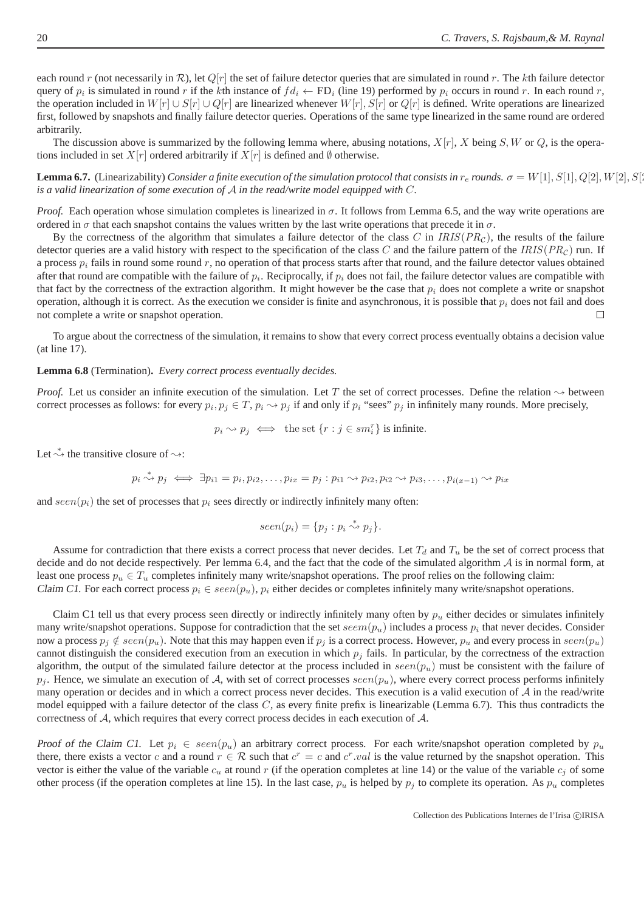each round r (not necessarily in  $\mathcal{R}$ ), let  $Q[r]$  the set of failure detector queries that are simulated in round r. The kth failure detector query of  $p_i$  is simulated in round r if the kth instance of  $fd_i \leftarrow FD_i$  (line 19) performed by  $p_i$  occurs in round r. In each round r, the operation included in  $W[r] \cup S[r] \cup Q[r]$  are linearized whenever  $W[r], S[r]$  or  $Q[r]$  is defined. Write operations are linearized first, followed by snapshots and finally failure detector queries. Operations of the same type linearized in the same round are ordered arbitrarily.

The discussion above is summarized by the following lemma where, abusing notations,  $X[r]$ , X being S, W or Q, is the operations included in set  $X[r]$  ordered arbitrarily if  $X[r]$  is defined and  $\emptyset$  otherwise.

**Lemma 6.7.** (Linearizability) *Consider a finite execution of the simulation protocol that consists in*  $r_e$  *rounds.*  $\sigma = W[1], S[1], Q[2], W[2], S[2]$ *is a valid linearization of some execution of* A *in the read/write model equipped with* C*.*

*Proof.* Each operation whose simulation completes is linearized in  $\sigma$ . It follows from Lemma 6.5, and the way write operations are ordered in  $\sigma$  that each snapshot contains the values written by the last write operations that precede it in  $\sigma$ .

By the correctness of the algorithm that simulates a failure detector of the class C in  $IRIS(PR<sub>C</sub>)$ , the results of the failure detector queries are a valid history with respect to the specification of the class C and the failure pattern of the IRIS( $PR_C$ ) run. If a process  $p_i$  fails in round some round r, no operation of that process starts after that round, and the failure detector values obtained after that round are compatible with the failure of  $p_i$ . Reciprocally, if  $p_i$  does not fail, the failure detector values are compatible with that fact by the correctness of the extraction algorithm. It might however be the case that  $p_i$  does not complete a write or snapshot operation, although it is correct. As the execution we consider is finite and asynchronous, it is possible that  $p_i$  does not fail and does not complete a write or snapshot operation.  $\Box$ 

To argue about the correctness of the simulation, it remains to show that every correct process eventually obtains a decision value (at line 17).

**Lemma 6.8** (Termination)**.** *Every correct process eventually decides.*

*Proof.* Let us consider an infinite execution of the simulation. Let T the set of correct processes. Define the relation  $\rightsquigarrow$  between correct processes as follows: for every  $p_i, p_j \in T$ ,  $p_i \leadsto p_j$  if and only if  $p_i$  "sees"  $p_j$  in infinitely many rounds. More precisely,

 $p_i \rightsquigarrow p_j \iff \text{the set } \{r : j \in sm_i^r\} \text{ is infinite.}$ 

Let  $\stackrel{*}{\rightsquigarrow}$  the transitive closure of  $\rightsquigarrow$ :

$$
p_i \stackrel{*}{\leadsto} p_j \iff \exists p_{i1} = p_i, p_{i2}, \dots, p_{ix} = p_j : p_{i1} \rightsquigarrow p_{i2}, p_{i2} \rightsquigarrow p_{i3}, \dots, p_{i(x-1)} \rightsquigarrow p_{ix}
$$

and  $seen(p_i)$  the set of processes that  $p_i$  sees directly or indirectly infinitely many often:

$$
seen(p_i) = \{p_j : p_i \stackrel{*}{\leadsto} p_j\}.
$$

Assume for contradiction that there exists a correct process that never decides. Let  $T_d$  and  $T_u$  be the set of correct process that decide and do not decide respectively. Per lemma 6.4, and the fact that the code of the simulated algorithm  $A$  is in normal form, at least one process  $p_u \in T_u$  completes infinitely many write/snapshot operations. The proof relies on the following claim: Claim C1. For each correct process  $p_i \in seen(p_u)$ ,  $p_i$  either decides or completes infinitely many write/snapshot operations.

Claim C1 tell us that every process seen directly or indirectly infinitely many often by  $p_u$  either decides or simulates infinitely many write/snapshot operations. Suppose for contradiction that the set  $seem(p_u)$  includes a process  $p_i$  that never decides. Consider now a process  $p_j \notin seen(p_u)$ . Note that this may happen even if  $p_j$  is a correct process. However,  $p_u$  and every process in  $seen(p_u)$ cannot distinguish the considered execution from an execution in which  $p_j$  fails. In particular, by the correctness of the extraction algorithm, the output of the simulated failure detector at the process included in  $seen(p_u)$  must be consistent with the failure of  $p_j$ . Hence, we simulate an execution of A, with set of correct processes seen $(p_u)$ , where every correct process performs infinitely many operation or decides and in which a correct process never decides. This execution is a valid execution of  $A$  in the read/write model equipped with a failure detector of the class  $C$ , as every finite prefix is linearizable (Lemma 6.7). This thus contradicts the correctness of A, which requires that every correct process decides in each execution of A.

Proof of the Claim C1. Let  $p_i \in seen(p_u)$  an arbitrary correct process. For each write/snapshot operation completed by  $p_u$ there, there exists a vector c and a round  $r \in \mathcal{R}$  such that  $c^r = c$  and  $c^r \cdot val$  is the value returned by the snapshot operation. This vector is either the value of the variable  $c_u$  at round r (if the operation completes at line 14) or the value of the variable  $c_i$  of some other process (if the operation completes at line 15). In the last case,  $p_u$  is helped by  $p_j$  to complete its operation. As  $p_u$  completes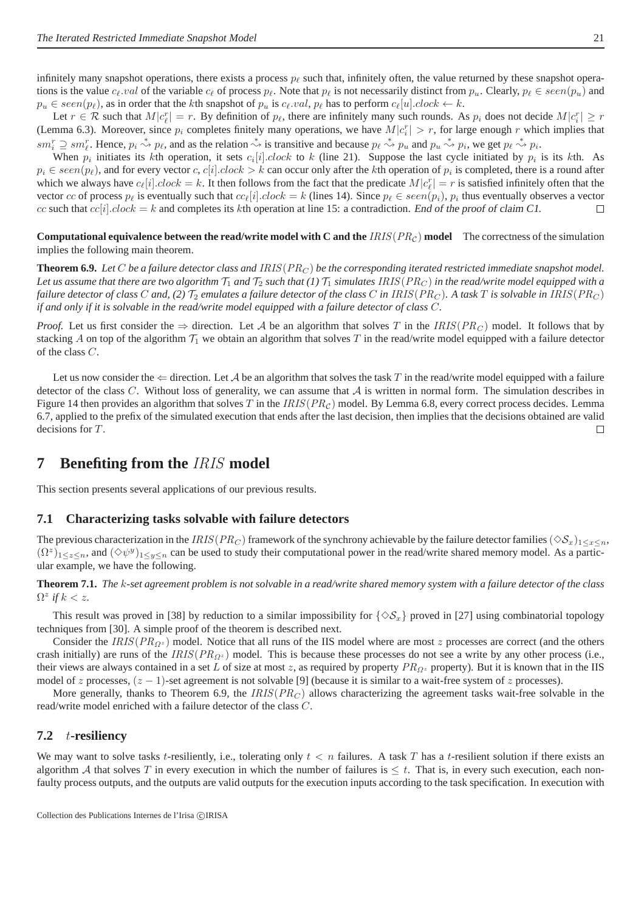infinitely many snapshot operations, there exists a process  $p_\ell$  such that, infinitely often, the value returned by these snapshot operations is the value  $c_\ell$ , val of the variable  $c_\ell$  of process  $p_\ell$ . Note that  $p_\ell$  is not necessarily distinct from  $p_\ell$ . Clearly,  $p_\ell \in seen(p_\ell)$  and  $p_u \in \text{seen}(p_\ell)$ , as in order that the kth snapshot of  $p_u$  is  $c_\ell \text{val}, p_\ell$  has to perform  $c_\ell[u]$ .clock  $\leftarrow k$ .

Let  $r \in \mathcal{R}$  such that  $M|c_{\ell}^r| = r$ . By definition of  $p_{\ell}$ , there are infinitely many such rounds. As  $p_i$  does not decide  $M|c_i^r| \geq r$ (Lemma 6.3). Moreover, since  $p_i$  completes finitely many operations, we have  $M|c_i^r| > r$ , for large enough r which implies that  $sm_i^r \supseteq sm_\ell^r$ . Hence,  $p_i \stackrel{*}{\rightsquigarrow} p_\ell$ , and as the relation  $\stackrel{*}{\rightsquigarrow}$  is transitive and because  $p_\ell \stackrel{*}{\rightsquigarrow} p_u$  and  $p_u \stackrel{*}{\rightsquigarrow} p_i$ , we get  $p_\ell \stackrel{*}{\rightsquigarrow} p_i$ .

When  $p_i$  initiates its kth operation, it sets  $c_i[i].clock$  to k (line 21). Suppose the last cycle initiated by  $p_i$  is its kth. As  $p_i \in seen(p_\ell)$ , and for every vector  $c, c[i].clock > k$  can occur only after the kth operation of  $p_i$  is completed, there is a round after which we always have  $c_{\ell}[i].clock = k$ . It then follows from the fact that the predicate  $M|c_{\ell}^{r}| = r$  is satisfied infinitely often that the vector cc of process  $p_\ell$  is eventually such that  $cc_\ell[i].clock = k$  (lines 14). Since  $p_\ell \in seen(p_i), p_i$  thus eventually observes a vector cc such that  $cc[i].clock = k$  and completes its kth operation at line 15: a contradiction. End of the proof of claim C1.

**Computational equivalence between the read/write model with C and the**  $IRIS(PR<sub>C</sub>)$  model The correctness of the simulation implies the following main theorem.

**Theorem 6.9.** Let C be a failure detector class and IRIS( $PR_C$ ) be the corresponding iterated restricted immediate snapshot model. Let us assume that there are two algorithm  $T_1$  and  $T_2$  such that (1)  $T_1$  simulates IRIS( $PR_C$ ) in the read/write model equipped with a *failure detector of class* C *and, (2)*  $\mathcal{T}_2$  *emulates a failure detector of the class* C *in* IRIS( $PR_C$ )*. A task* T *is solvable in* IRIS( $PR_C$ ) *if and only if it is solvable in the read/write model equipped with a failure detector of class* C*.*

*Proof.* Let us first consider the  $\Rightarrow$  direction. Let A be an algorithm that solves T in the IRIS( $PR_G$ ) model. It follows that by stacking A on top of the algorithm  $\mathcal{T}_1$  we obtain an algorithm that solves T in the read/write model equipped with a failure detector of the class C.

Let us now consider the  $\Leftarrow$  direction. Let A be an algorithm that solves the task T in the read/write model equipped with a failure detector of the class C. Without loss of generality, we can assume that  $A$  is written in normal form. The simulation describes in Figure 14 then provides an algorithm that solves T in the  $IRIS(PR<sub>C</sub>)$  model. By Lemma 6.8, every correct process decides. Lemma 6.7, applied to the prefix of the simulated execution that ends after the last decision, then implies that the decisions obtained are valid decisions for T. П

## **7 Benefiting from the** IRIS **model**

This section presents several applications of our previous results.

#### **7.1 Characterizing tasks solvable with failure detectors**

The previous characterization in the IRIS( $PR_C$ ) framework of the synchrony achievable by the failure detector families ( $\Diamond S_x$ )<sub>1≤x≤n</sub>,  $(\Omega^z)_{1\leq z\leq n}$ , and  $(\Diamond \psi^y)_{1\leq y\leq n}$  can be used to study their computational power in the read/write shared memory model. As a particular example, we have the following.

**Theorem 7.1.** *The* k*-set agreement problem is not solvable in a read/write shared memory system with a failure detector of the class*  $\Omega^z$  if  $k < z$ .

This result was proved in [38] by reduction to a similar impossibility for  $\{\Diamond S_x\}$  proved in [27] using combinatorial topology techniques from [30]. A simple proof of the theorem is described next.

Consider the  $IRIS(PR_{\Omega^z})$  model. Notice that all runs of the IIS model where are most z processes are correct (and the others crash initially) are runs of the  $IRIS(PR_{\Omega^2})$  model. This is because these processes do not see a write by any other process (i.e., their views are always contained in a set L of size at most z, as required by property  $PR_{Q^z}$  property). But it is known that in the IIS model of z processes,  $(z - 1)$ -set agreement is not solvable [9] (because it is similar to a wait-free system of z processes).

More generally, thanks to Theorem 6.9, the  $IRIS(PR_C)$  allows characterizing the agreement tasks wait-free solvable in the read/write model enriched with a failure detector of the class C.

#### **7.2** t**-resiliency**

We may want to solve tasks t-resiliently, i.e., tolerating only  $t < n$  failures. A task T has a t-resilient solution if there exists an algorithm A that solves T in every execution in which the number of failures is  $\leq t$ . That is, in every such execution, each nonfaulty process outputs, and the outputs are valid outputs for the execution inputs according to the task specification. In execution with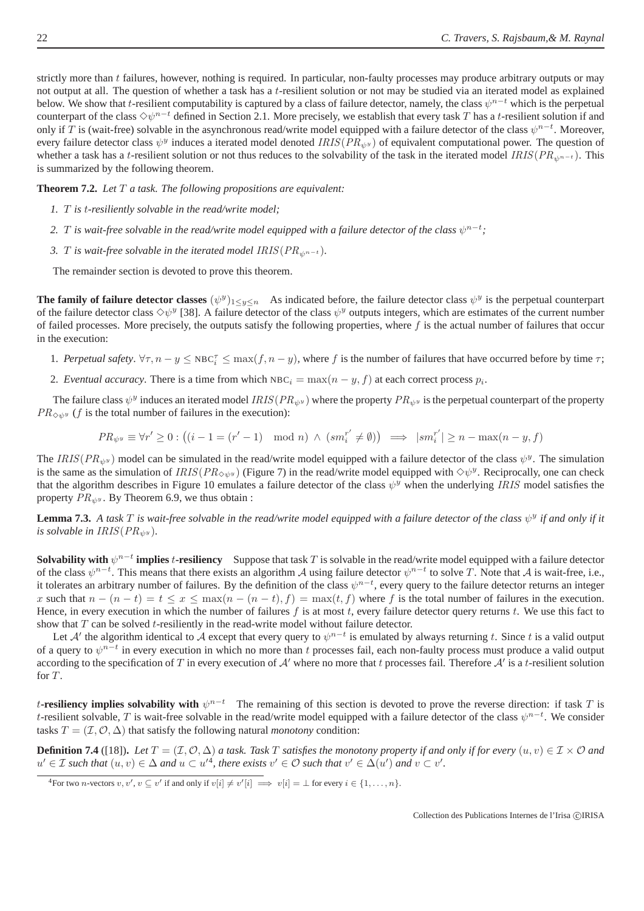strictly more than  $t$  failures, however, nothing is required. In particular, non-faulty processes may produce arbitrary outputs or may not output at all. The question of whether a task has a t-resilient solution or not may be studied via an iterated model as explained below. We show that t-resilient computability is captured by a class of failure detector, namely, the class  $\psi^{n-t}$  which is the perpetual counterpart of the class  $\Diamond \psi^{n-t}$  defined in Section 2.1. More precisely, we establish that every task T has a t-resilient solution if and only if T is (wait-free) solvable in the asynchronous read/write model equipped with a failure detector of the class  $\psi^{n-t}$ . Moreover, every failure detector class  $\psi^y$  induces a iterated model denoted  $IRIS(PR_{\psi^y})$  of equivalent computational power. The question of whether a task has a t-resilient solution or not thus reduces to the solvability of the task in the iterated model  $IRIS(P_{R_{\psi^{n-t}}})$ . This is summarized by the following theorem.

**Theorem 7.2.** *Let* T *a task. The following propositions are equivalent:*

- *1.* T *is* t*-resiliently solvable in the read/write model;*
- 2. T is wait-free solvable in the read/write model equipped with a failure detector of the class  $\psi^{n-t}$ ;
- *3. T* is wait-free solvable in the iterated model  $IRIS(PR_{\psi^{n-t}})$ .

The remainder section is devoted to prove this theorem.

**The family of failure detector classes**  $(\psi^y)_{1 \le y \le n}$  As indicated before, the failure detector class  $\psi^y$  is the perpetual counterpart of the failure detector class  $\Diamond \psi^y$  [38]. A failure detector of the class  $\psi^y$  outputs integers, which are estimates of the current number of failed processes. More precisely, the outputs satisfy the following properties, where  $f$  is the actual number of failures that occur in the execution:

- 1. *Perpetual safety*.  $\forall \tau, n y \leq \text{NBC}_i^{\tau} \leq \max(f, n y)$ , where f is the number of failures that have occurred before by time  $\tau$ ;
- 2. *Eventual accuracy*. There is a time from which  $NBC_i = \max(n y, f)$  at each correct process  $p_i$ .

The failure class  $\psi^y$  induces an iterated model  $IRIS(PR_{\psi^y})$  where the property  $PR_{\psi^y}$  is the perpetual counterpart of the property  $PR_{\Diamond y}$  (f is the total number of failures in the execution):

$$
PR_{\psi^y} \equiv \forall r' \ge 0 : \big( (i-1 = (r'-1) \mod n) \, \wedge \, (sm_i^{r'} \neq \emptyset) \big) \implies |sm_i^{r'}| \ge n - \max(n-y, f)
$$

The IRIS( $PR_{\psi^y}$ ) model can be simulated in the read/write model equipped with a failure detector of the class  $\psi^y$ . The simulation is the same as the simulation of  $IRIS(PR_{\diamond\psi y})$  (Figure 7) in the read/write model equipped with  $\diamond\psi^y$ . Reciprocally, one can check that the algorithm describes in Figure 10 emulates a failure detector of the class  $\psi^y$  when the underlying IRIS model satisfies the property  $PR_{\psi^y}$ . By Theorem 6.9, we thus obtain :

**Lemma 7.3.** A task  $T$  is wait-free solvable in the read/write model equipped with a failure detector of the class  $\psi^y$  if and only if it *is solvable in IRIS*( $PR_{\psi^y}$ ).

**Solvability with**  $\psi^{n-t}$  **implies** t-resiliency Suppose that task T is solvable in the read/write model equipped with a failure detector of the class  $\psi^{n-t}$ . This means that there exists an algorithm A using failure detector  $\psi^{n-t}$  to solve T. Note that A is wait-free, i.e., it tolerates an arbitrary number of failures. By the definition of the class  $\psi^{n-t}$ , every query to the failure detector returns an integer x such that  $n - (n - t) = t \le x \le \max(n - (n - t), f) = \max(t, f)$  where f is the total number of failures in the execution. Hence, in every execution in which the number of failures  $f$  is at most  $t$ , every failure detector query returns  $t$ . We use this fact to show that  $T$  can be solved  $t$ -resiliently in the read-write model without failure detector.

Let A' the algorithm identical to A except that every query to  $\psi^{n-t}$  is emulated by always returning t. Since t is a valid output of a query to  $\psi^{n-t}$  in every execution in which no more than t processes fail, each non-faulty process must produce a valid output according to the specification of T in every execution of  $A'$  where no more that t processes fail. Therefore  $A'$  is a t-resilient solution for T.

t-resiliency implies solvability with  $\psi^{n-t}$  The remaining of this section is devoted to prove the reverse direction: if task T is t-resilient solvable, T is wait-free solvable in the read/write model equipped with a failure detector of the class  $\psi^{n-t}$ . We consider tasks  $T = (\mathcal{I}, \mathcal{O}, \Delta)$  that satisfy the following natural *monotony* condition:

**Definition 7.4** ([18]). Let  $T = (\mathcal{I}, \mathcal{O}, \Delta)$  *a task. Task* T *satisfies the monotony property if and only if for every*  $(u, v) \in \mathcal{I} \times \mathcal{O}$  *and*  $u' \in \mathcal{I}$  such that  $(u, v) \in \Delta$  and  $u \subset u'^4$ , there exists  $v' \in \mathcal{O}$  such that  $v' \in \Delta(u')$  and  $v \subset v'$ .

<sup>&</sup>lt;sup>4</sup>For two *n*-vectors  $v, v', v \subseteq v'$  if and only if  $v[i] \neq v'[i] \implies v[i] = \bot$  for every  $i \in \{1, ..., n\}$ .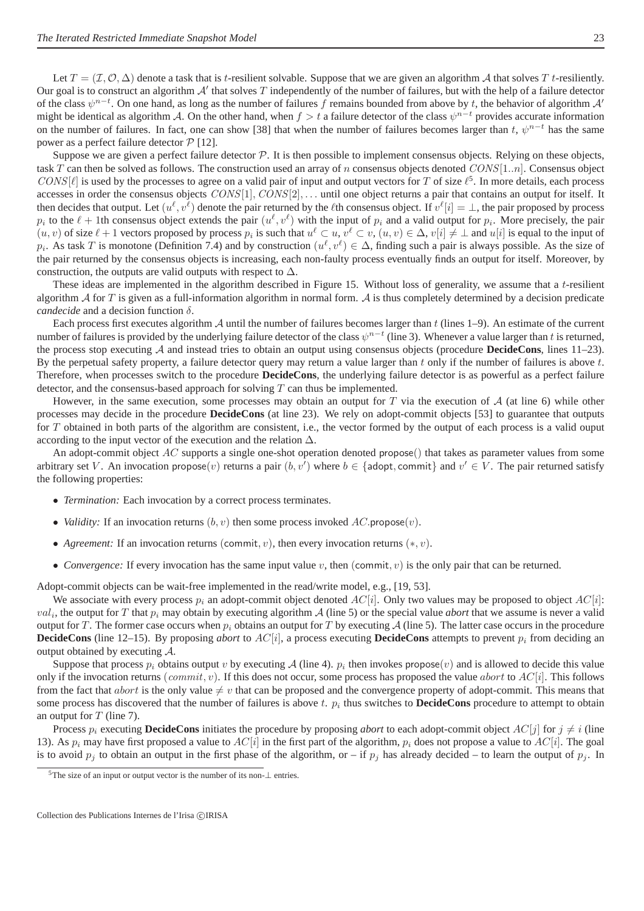Let  $T = (\mathcal{I}, \mathcal{O}, \Delta)$  denote a task that is t-resilient solvable. Suppose that we are given an algorithm A that solves T t-resiliently. Our goal is to construct an algorithm  $A'$  that solves  $T$  independently of the number of failures, but with the help of a failure detector of the class  $\psi^{n-t}$ . On one hand, as long as the number of failures f remains bounded from above by t, the behavior of algorithm A' might be identical as algorithm A. On the other hand, when  $f > t$  a failure detector of the class  $\psi^{n-t}$  provides accurate information on the number of failures. In fact, one can show [38] that when the number of failures becomes larger than t,  $\psi^{n-t}$  has the same power as a perfect failure detector  $P$  [12].

Suppose we are given a perfect failure detector  $P$ . It is then possible to implement consensus objects. Relying on these objects, task T can then be solved as follows. The construction used an array of n consensus objects denoted  $CONS[1..n]$ . Consensus object CONS[ $\ell$ ] is used by the processes to agree on a valid pair of input and output vectors for T of size  $\ell^5$ . In more details, each process accesses in order the consensus objects  $CONS[1]$ ,  $CONS[2]$ , ... until one object returns a pair that contains an output for itself. It then decides that output. Let  $(u^{\ell}, v^{\ell})$  denote the pair returned by the  $\ell$ th consensus object. If  $v^{\ell}[i] = \bot$ , the pair proposed by process  $p_i$  to the  $\ell + 1$ th consensus object extends the pair  $(u^{\ell}, v^{\ell})$  with the input of  $p_i$  and a valid output for  $p_i$ . More precisely, the pair  $(u, v)$  of size  $\ell + 1$  vectors proposed by process  $p_i$  is such that  $u^{\ell} \subset u$ ,  $v^{\ell} \subset v$ ,  $(u, v) \in \Delta$ ,  $v[i] \neq \bot$  and  $u[i]$  is equal to the input of  $p_i$ . As task T is monotone (Definition 7.4) and by construction  $(u^{\ell}, v^{\ell}) \in \Delta$ , finding such a pair is always possible. As the size of the pair returned by the consensus objects is increasing, each non-faulty process eventually finds an output for itself. Moreover, by construction, the outputs are valid outputs with respect to  $\Delta$ .

These ideas are implemented in the algorithm described in Figure 15. Without loss of generality, we assume that a t-resilient algorithm  $\mathcal A$  for  $T$  is given as a full-information algorithm in normal form.  $\mathcal A$  is thus completely determined by a decision predicate *candecide* and a decision function δ.

Each process first executes algorithm  $\mathcal A$  until the number of failures becomes larger than t (lines 1–9). An estimate of the current number of failures is provided by the underlying failure detector of the class  $\psi^{n-t}$  (line 3). Whenever a value larger than t is returned, the process stop executing A and instead tries to obtain an output using consensus objects (procedure **DecideCons**, lines 11–23). By the perpetual safety property, a failure detector query may return a value larger than  $t$  only if the number of failures is above  $t$ . Therefore, when processes switch to the procedure **DecideCons**, the underlying failure detector is as powerful as a perfect failure detector, and the consensus-based approach for solving  $T$  can thus be implemented.

However, in the same execution, some processes may obtain an output for T via the execution of  $A$  (at line 6) while other processes may decide in the procedure **DecideCons** (at line 23). We rely on adopt-commit objects [53] to guarantee that outputs for T obtained in both parts of the algorithm are consistent, i.e., the vector formed by the output of each process is a valid ouput according to the input vector of the execution and the relation  $\Delta$ .

An adopt-commit object  $AC$  supports a single one-shot operation denoted propose() that takes as parameter values from some arbitrary set V. An invocation propose $(v)$  returns a pair  $(b, v')$  where  $b \in \{ \text{adopt}, \text{commit} \}$  and  $v' \in V$ . The pair returned satisfy the following properties:

- *Termination:* Each invocation by a correct process terminates.
- *Validity:* If an invocation returns  $(b, v)$  then some process invoked  $AC$ .propose $(v)$ .
- *Agreement:* If an invocation returns (commit, v), then every invocation returns  $(*, v)$ .
- *Convergence:* If every invocation has the same input value v, then (commit, v) is the only pair that can be returned.

Adopt-commit objects can be wait-free implemented in the read/write model, e.g., [19, 53].

We associate with every process  $p_i$  an adopt-commit object denoted  $AC[i]$ . Only two values may be proposed to object  $AC[i]$ :  $val_i$ , the output for T that  $p_i$  may obtain by executing algorithm A (line 5) or the special value *abort* that we assume is never a valid output for T. The former case occurs when  $p_i$  obtains an output for T by executing A (line 5). The latter case occurs in the procedure **DecideCons** (line 12–15). By proposing *abort* to  $AC[i]$ , a process executing **DecideCons** attempts to prevent  $p_i$  from deciding an output obtained by executing  $A$ .

Suppose that process  $p_i$  obtains output v by executing A (line 4).  $p_i$  then invokes propose $(v)$  and is allowed to decide this value only if the invocation returns (commit, v). If this does not occur, some process has proposed the value abort to  $AC[i]$ . This follows from the fact that *abort* is the only value  $\neq v$  that can be proposed and the convergence property of adopt-commit. This means that some process has discovered that the number of failures is above  $t$ .  $p_i$  thus switches to **DecideCons** procedure to attempt to obtain an output for  $T$  (line 7).

Process  $p_i$  executing **DecideCons** initiates the procedure by proposing *abort* to each adopt-commit object  $AC[j]$  for  $j \neq i$  (line 13). As  $p_i$  may have first proposed a value to  $AC[i]$  in the first part of the algorithm,  $p_i$  does not propose a value to  $AC[i]$ . The goal is to avoid  $p_i$  to obtain an output in the first phase of the algorithm, or – if  $p_i$  has already decided – to learn the output of  $p_i$ . In

 $5$ The size of an input or output vector is the number of its non- $\perp$  entries.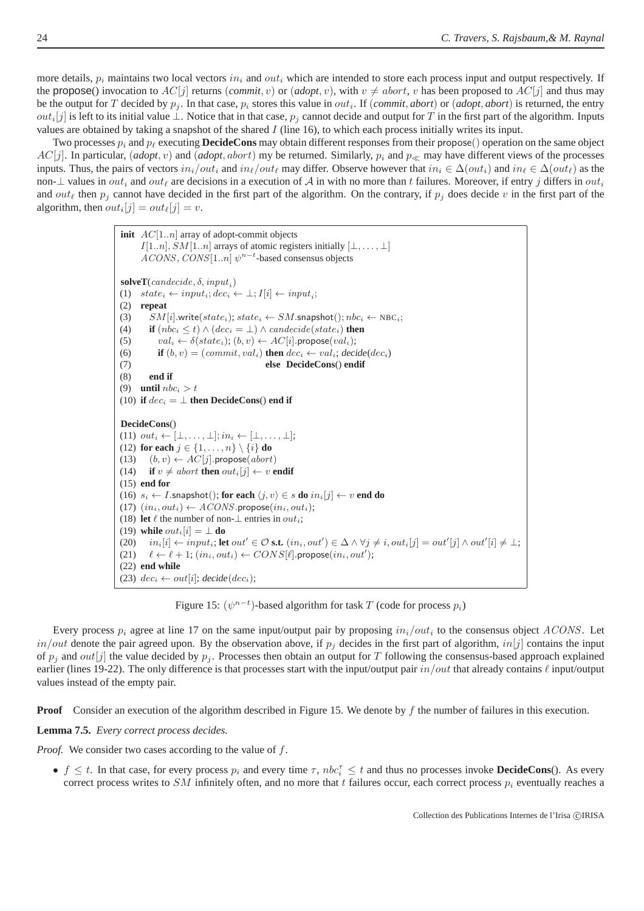more details,  $p_i$  maintains two local vectors  $in_i$  and  $out_i$  which are intended to store each process input and output respectively. If the propose() invocation to  $AC[j]$  returns (*commit*, v) or (*adopt*, v), with  $v \neq abort$ , v has been proposed to  $AC[j]$  and thus may be the output for T decided by  $p_j$ . In that case,  $p_i$  stores this value in  $out_i$ . If  $(commit, abort)$  or  $(dopt, abort)$  is returned, the entry  $out_i[j]$  is left to its initial value  $\perp$ . Notice that in that case,  $p_j$  cannot decide and output for T in the first part of the algorithm. Inputs values are obtained by taking a snapshot of the shared  $I$  (line 16), to which each process initially writes its input.

Two processes  $p_i$  and  $p_\ell$  executing **DecideCons** may obtain different responses from their propose() operation on the same object  $AC[j]$ . In particular, (*adopt*, *v*) and (*adopt*, *abort*) my be returned. Similarly,  $p_i$  and  $p_{\ll}$  may have different views of the processes inputs. Thus, the pairs of vectors  $in_i/out_i$  and  $in_\ell/out_\ell$  may differ. Observe however that  $in_i \in \Delta(out_i)$  and  $in_\ell \in \Delta(out_\ell)$  as the non- $\perp$  values in  $out_i$  and  $out_\ell$  are decisions in a execution of A in with no more than t failures. Moreover, if entry j differs in  $out_i$ and out<sub> $\ell$ </sub> then  $p_j$  cannot have decided in the first part of the algorithm. On the contrary, if  $p_j$  does decide v in the first part of the algorithm, then  $out_i[j] = out_{\ell}[j] = v$ .

| <b>init</b> $AC[1n]$ array of adopt-commit objects                                                                                                                  |
|---------------------------------------------------------------------------------------------------------------------------------------------------------------------|
| $I[1n], SM[1n]$ arrays of atomic registers initially $[\bot, \ldots, \bot]$                                                                                         |
| $ACONS, CONS[1n] \psi^{n-t}$ -based consensus objects                                                                                                               |
|                                                                                                                                                                     |
| <b>solveT</b> ( <i>candecide</i> , $\delta$ , <i>input</i> ,)                                                                                                       |
| $state_i \leftarrow input_i; dec_i \leftarrow \perp; I[i] \leftarrow input_i;$<br>(1)                                                                               |
| (2)<br>repeat                                                                                                                                                       |
| $SM[i].write(state_i); state_i \leftarrow SM.\text{snapshot}(); \text{nbc_i} \leftarrow \text{NBC_i};$<br>(3)                                                       |
| <b>if</b> $(nbc_i \leq t) \wedge (dec_i = \perp) \wedge can decide(state_i)$ then<br>(4)                                                                            |
| $val_i \leftarrow \delta(state_i); (b, v) \leftarrow AC[i].\text{propose}(val_i);$<br>(5)                                                                           |
| if $(b, v) = (commit, val_i)$ then $dec_i \leftarrow val_i$ ; decide( $dec_i$ )<br>(6)                                                                              |
| else DecideCons() endif<br>(7)                                                                                                                                      |
| end if<br>(8)                                                                                                                                                       |
| (9)<br><b>until</b> $nbc_i > t$                                                                                                                                     |
| (10) if $dec_i = \perp$ then DecideCons() end if                                                                                                                    |
|                                                                                                                                                                     |
|                                                                                                                                                                     |
| DecideCons()                                                                                                                                                        |
| (11) $out_i \leftarrow [\perp, \ldots, \perp]; in_i \leftarrow [\perp, \ldots, \perp];$                                                                             |
| (12) for each $j \in \{1, \ldots, n\} \setminus \{i\}$ do                                                                                                           |
| (13) $(b, v) \leftarrow AC[j]$ . propose(abort)                                                                                                                     |
| (14) if $v \neq abort$ then $out_i[j] \leftarrow v$ endif                                                                                                           |
| $(15)$ end for                                                                                                                                                      |
|                                                                                                                                                                     |
| (16) $s_i \leftarrow I$ . snapshot(); for each $\langle j, v \rangle \in s$ do $in_i[j] \leftarrow v$ end do                                                        |
| (17) $(in_i, out_i) \leftarrow A CONS.\text{propose}(in_i, out_i);$<br>(18) let $\ell$ the number of non- $\bot$ entries in <i>out</i> <sub>i</sub> ;               |
| (19) while $out_i[i] = \perp$ do                                                                                                                                    |
|                                                                                                                                                                     |
| (20) $in_i[i] \leftarrow input_i$ ; let $out' \in \mathcal{O}$ s.t. $(in_i, out') \in \Delta \wedge \forall j \neq i, out_i[j] = out'[j] \wedge out'[i] \neq \bot;$ |
| (21) $\ell \leftarrow \ell + 1$ ; $(in_i, out_i) \leftarrow CONS[\ell].\text{propose}(in_i, out');$<br>$(22)$ end while                                             |

Figure 15:  $(\psi^{n-t})$ -based algorithm for task T (code for process  $p_i$ )

Every process  $p_i$  agree at line 17 on the same input/output pair by proposing  $in_i/out_i$  to the consensus object  $ACONS$ . Let  $in/out$  denote the pair agreed upon. By the observation above, if  $p_i$  decides in the first part of algorithm,  $in[j]$  contains the input of  $p_i$  and *out*[j] the value decided by  $p_i$ . Processes then obtain an output for T following the consensus-based approach explained earlier (lines 19-22). The only difference is that processes start with the input/output pair  $in/out$  that already contains  $\ell$  input/output values instead of the empty pair.

**Proof** Consider an execution of the algorithm described in Figure 15. We denote by f the number of failures in this execution.

**Lemma 7.5.** *Every correct process decides.*

*Proof.* We consider two cases according to the value of f.

•  $f \le t$ . In that case, for every process  $p_i$  and every time  $\tau$ ,  $nbc_i^{\tau} \le t$  and thus no processes invoke **DecideCons**(). As every correct process writes to SM infinitely often, and no more that t failures occur, each correct process  $p_i$  eventually reaches a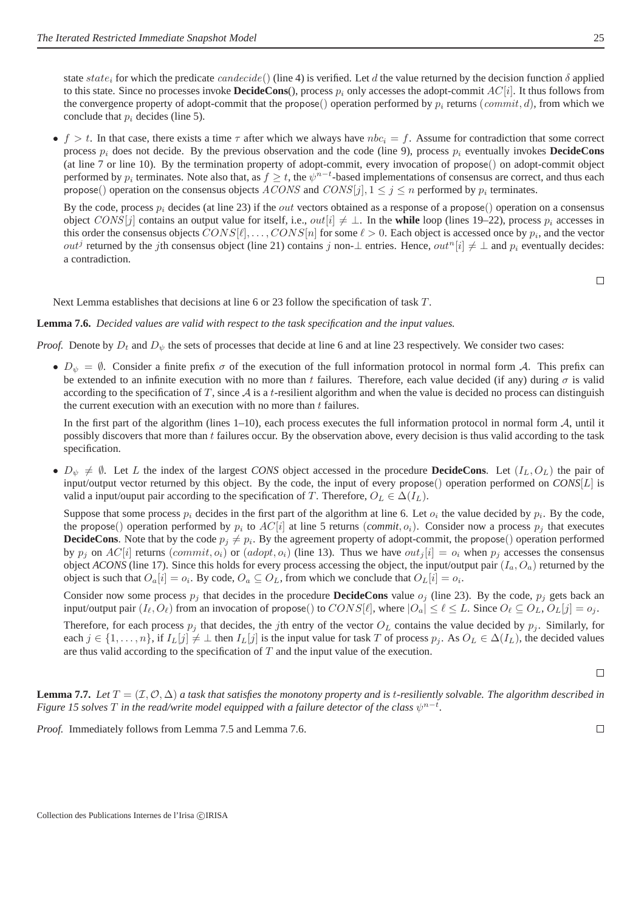state state<sub>i</sub> for which the predicate candecide() (line 4) is verified. Let d the value returned by the decision function  $\delta$  applied to this state. Since no processes invoke **DecideCons**(), process p<sub>i</sub> only accesses the adopt-commit  $AC[i]$ . It thus follows from the convergence property of adopt-commit that the propose() operation performed by  $p_i$  returns (commit, d), from which we conclude that  $p_i$  decides (line 5).

• f > t. In that case, there exists a time  $\tau$  after which we always have  $nbc_i = f$ . Assume for contradiction that some correct process  $p_i$  does not decide. By the previous observation and the code (line 9), process  $p_i$  eventually invokes **DecideCons** (at line 7 or line 10). By the termination property of adopt-commit, every invocation of propose() on adopt-commit object performed by  $p_i$  terminates. Note also that, as  $f \ge t$ , the  $\psi^{n-t}$ -based implementations of consensus are correct, and thus each propose() operation on the consensus objects  $ACONS$  and  $CONS[j], 1 \le j \le n$  performed by  $p_i$  terminates.

By the code, process  $p_i$  decides (at line 23) if the *out* vectors obtained as a response of a propose() operation on a consensus object CONS[j] contains an output value for itself, i.e., out[i]  $\neq \perp$ . In the **while** loop (lines 19–22), process  $p_i$  accesses in this order the consensus objects  $CONS[\ell], \ldots, CONS[n]$  for some  $\ell > 0.$  Each object is accessed once by  $p_i,$  and the vector *out<sup>j</sup>* returned by the *j*th consensus object (line 21) contains *j* non-⊥ entries. Hence, *out*<sup>n</sup>[i]  $\neq$  ⊥ and  $p_i$  eventually decides: a contradiction.

 $\Box$ 

Next Lemma establishes that decisions at line 6 or 23 follow the specification of task T.

#### **Lemma 7.6.** *Decided values are valid with respect to the task specification and the input values.*

*Proof.* Denote by  $D_t$  and  $D_\psi$  the sets of processes that decide at line 6 and at line 23 respectively. We consider two cases:

•  $D_{\psi} = \emptyset$ . Consider a finite prefix  $\sigma$  of the execution of the full information protocol in normal form A. This prefix can be extended to an infinite execution with no more than t failures. Therefore, each value decided (if any) during  $\sigma$  is valid according to the specification of T, since  $A$  is a t-resilient algorithm and when the value is decided no process can distinguish the current execution with an execution with no more than  $t$  failures.

In the first part of the algorithm (lines  $1-10$ ), each process executes the full information protocol in normal form  $A$ , until it possibly discovers that more than t failures occur. By the observation above, every decision is thus valid according to the task specification.

•  $D_{\psi} \neq \emptyset$ . Let L the index of the largest *CONS* object accessed in the procedure **DecideCons**. Let  $(I_L, O_L)$  the pair of input/output vector returned by this object. By the code, the input of every propose() operation performed on *CONS*[L] is valid a input/ouput pair according to the specification of T. Therefore,  $O_L \in \Delta(I_L)$ .

Suppose that some process  $p_i$  decides in the first part of the algorithm at line 6. Let  $o_i$  the value decided by  $p_i$ . By the code, the propose() operation performed by  $p_i$  to  $AC[i]$  at line 5 returns (*commit*,  $o_i$ ). Consider now a process  $p_j$  that executes **DecideCons**. Note that by the code  $p_j \neq p_i$ . By the agreement property of adopt-commit, the propose() operation performed by  $p_j$  on  $AC[i]$  returns (commit,  $o_i$ ) or (adopt,  $o_i$ ) (line 13). Thus we have  $out_j[i] = o_i$  when  $p_j$  accesses the consensus object *ACONS* (line 17). Since this holds for every process accessing the object, the input/output pair  $(I_a, O_a)$  returned by the object is such that  $O_a[i] = o_i$ . By code,  $O_a \subseteq O_L$ , from which we conclude that  $O_L[i] = o_i$ .

Consider now some process  $p_j$  that decides in the procedure **DecideCons** value  $o_j$  (line 23). By the code,  $p_j$  gets back an input/output pair  $(I_{\ell}, O_{\ell})$  from an invocation of propose() to  $CONS[\ell]$ , where  $|O_a| \leq \ell \leq L$ . Since  $O_{\ell} \subseteq O_L$ ,  $O_L[j] = o_j$ .

Therefore, for each process  $p_j$  that decides, the jth entry of the vector  $O_L$  contains the value decided by  $p_j$ . Similarly, for each  $j \in \{1, \ldots, n\}$ , if  $I_L[j] \neq \perp$  then  $I_L[j]$  is the input value for task T of process  $p_i$ . As  $O_L \in \Delta(I_L)$ , the decided values are thus valid according to the specification of  $T$  and the input value of the execution.

 $\Box$ 

 $\Box$ 

**Lemma 7.7.** Let  $T = (\mathcal{I}, \mathcal{O}, \Delta)$  *a task that satisfies the monotony property and is t-resiliently solvable. The algorithm described in Figure 15 solves*  $T$  *in the read/write model equipped with a failure detector of the class*  $\psi^{n-t}$ *.* 

*Proof.* Immediately follows from Lemma 7.5 and Lemma 7.6.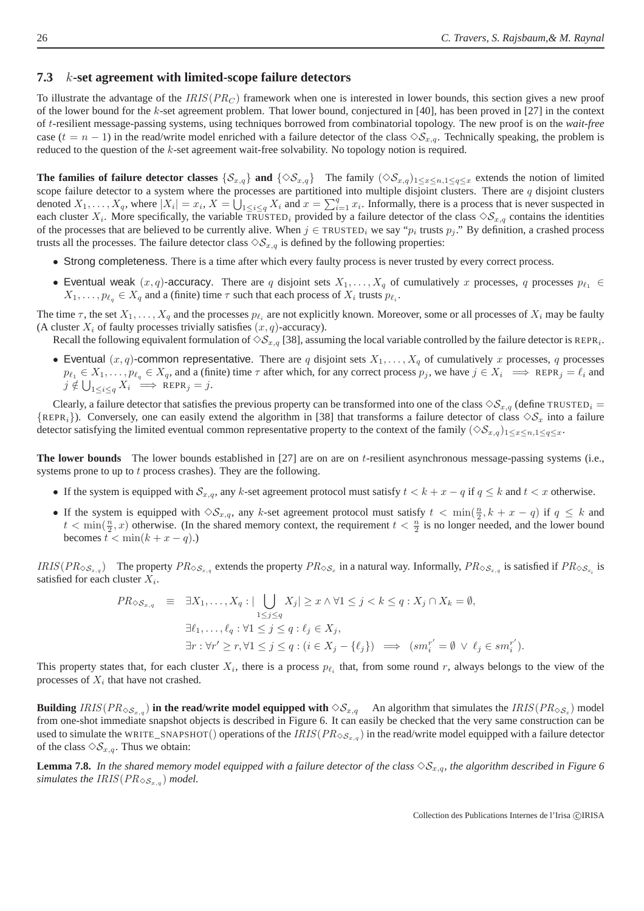#### **7.3** k**-set agreement with limited-scope failure detectors**

To illustrate the advantage of the  $IRIS(PR<sub>C</sub>)$  framework when one is interested in lower bounds, this section gives a new proof of the lower bound for the k-set agreement problem. That lower bound, conjectured in [40], has been proved in [27] in the context of t-resilient message-passing systems, using techniques borrowed from combinatorial topology. The new proof is on the *wait-free* case  $(t = n - 1)$  in the read/write model enriched with a failure detector of the class  $\Diamond S_{x,q}$ . Technically speaking, the problem is reduced to the question of the k-set agreement wait-free solvability. No topology notion is required.

**The families of failure detector classes** { $S_{x,q}$ } **and** { $\diamond S_{x,q}$ } The family  $(\diamond S_{x,q})_{1\leq x\leq n,1\leq q\leq x}$  extends the notion of limited scope failure detector to a system where the processes are partitioned into multiple disjoint clusters. There are  $q$  disjoint clusters denoted  $X_1, \ldots, X_q$ , where  $|X_i| = x_i$ ,  $X = \bigcup_{1 \leq i \leq q} X_i$  and  $x = \sum_{i=1}^q x_i$ . Informally, there is a process that is never suspected in each cluster  $X_i$ . More specifically, the variable TRUSTED<sub>i</sub> provided by a failure detector of the class  $\Diamond S_{x,q}$  contains the identities of the processes that are believed to be currently alive. When  $j \in \text{TRUED}_i$  we say " $p_i$  trusts  $p_j$ ." By definition, a crashed process trusts all the processes. The failure detector class  $\Diamond S_{x,q}$  is defined by the following properties:

- Strong completeness. There is a time after which every faulty process is never trusted by every correct process.
- Eventual weak  $(x, q)$ -accuracy. There are q disjoint sets  $X_1, \ldots, X_q$  of cumulatively x processes, q processes  $p_{\ell_1} \in$  $X_1, \ldots, p_{\ell_q} \in X_q$  and a (finite) time  $\tau$  such that each process of  $X_i$  trusts  $p_{\ell_i}$ .

The time  $\tau$ , the set  $X_1, \ldots, X_q$  and the processes  $p_{\ell_i}$  are not explicitly known. Moreover, some or all processes of  $X_i$  may be faulty (A cluster  $X_i$  of faulty processes trivially satisfies  $(x, q)$ -accuracy).

Recall the following equivalent formulation of  $\Diamond S_{x,q}$  [38], assuming the local variable controlled by the failure detector is REPR<sub>i</sub>.

• Eventual  $(x, q)$ -common representative. There are q disjoint sets  $X_1, \ldots, X_q$  of cumulatively x processes, q processes  $p_{\ell_1} \in X_1, \ldots, p_{\ell_q} \in X_q$ , and a (finite) time  $\tau$  after which, for any correct process  $p_j$ , we have  $j \in X_i \implies \text{REPR}_j = \ell_i$  and  $j \notin \bigcup_{1 \leq i \leq q} X_i \implies \text{REPR}_j = j.$ 

Clearly, a failure detector that satisfies the previous property can be transformed into one of the class  $\Diamond S_{x,q}$  (define TRUSTED<sub>i</sub> =  $\{REPR_i\}$ ). Conversely, one can easily extend the algorithm in [38] that transforms a failure detector of class  $\diamondsuit S_x$  into a failure detector satisfying the limited eventual common representative property to the context of the family  $(\Diamond S_{x,q})_{1\leq x\leq n,1\leq q\leq x}$ .

**The lower bounds** The lower bounds established in [27] are on are on t-resilient asynchronous message-passing systems (i.e., systems prone to up to  $t$  process crashes). They are the following.

- If the system is equipped with  $S_{x,q}$ , any k-set agreement protocol must satisfy  $t < k + x q$  if  $q \le k$  and  $t < x$  otherwise.
- If the system is equipped with  $\Diamond S_{x,q}$ , any k-set agreement protocol must satisfy  $t < \min(\frac{n}{2}, k + x q)$  if  $q \leq k$  and  $t < \min(\frac{n}{2}, x)$  otherwise. (In the shared memory context, the requirement  $t < \frac{n}{2}$  is no longer needed, and the lower bound becomes  $t < \min(k + x - q)$ .

 $IRIS(PR_{\diamond S_{x,q}})$  The property  $PR_{\diamond S_{x,q}}$  extends the property  $PR_{\diamond S_x}$  in a natural way. Informally,  $PR_{\diamond S_{x,q}}$  is satisfied if  $PR_{\diamond S_{x,q}}$  is satisfied for each cluster  $X_i$ .

$$
PR_{\diamondsuit S_{x,q}} \equiv \exists X_1, \dots, X_q : |\bigcup_{1 \leq j \leq q} X_j| \geq x \land \forall 1 \leq j < k \leq q : X_j \cap X_k = \emptyset,
$$
  

$$
\exists \ell_1, \dots, \ell_q : \forall 1 \leq j \leq q : \ell_j \in X_j,
$$
  

$$
\exists r : \forall r' \geq r, \forall 1 \leq j \leq q : (i \in X_j - \{\ell_j\}) \implies (sm_i^{r'} = \emptyset \lor \ell_j \in sm_i^{r'}).
$$

This property states that, for each cluster  $X_i$ , there is a process  $p_{\ell_i}$  that, from some round r, always belongs to the view of the processes of  $X_i$  that have not crashed.

**Building**  $IRIS(PR_{\diamond S_{x,q}})$  in the read/write model equipped with  $\diamond S_{x,q}$  An algorithm that simulates the  $IRIS(PR_{\diamond S_x})$  model from one-shot immediate snapshot objects is described in Figure 6. It can easily be checked that the very same construction can be used to simulate the WRITE\_SNAPSHOT() operations of the  $IRIS(PR_{\diamondsuit S_{x,q}})$  in the read/write model equipped with a failure detector of the class  $\Diamond S_{x,q}$ . Thus we obtain:

**Lemma 7.8.** In the shared memory model equipped with a failure detector of the class  $\Diamond S_{x,q}$ , the algorithm described in Figure 6 simulates the  $IRIS(PR_{\diamond S_{x,q}})$  model.

Collection des Publications Internes de l'Irisa ©IRISA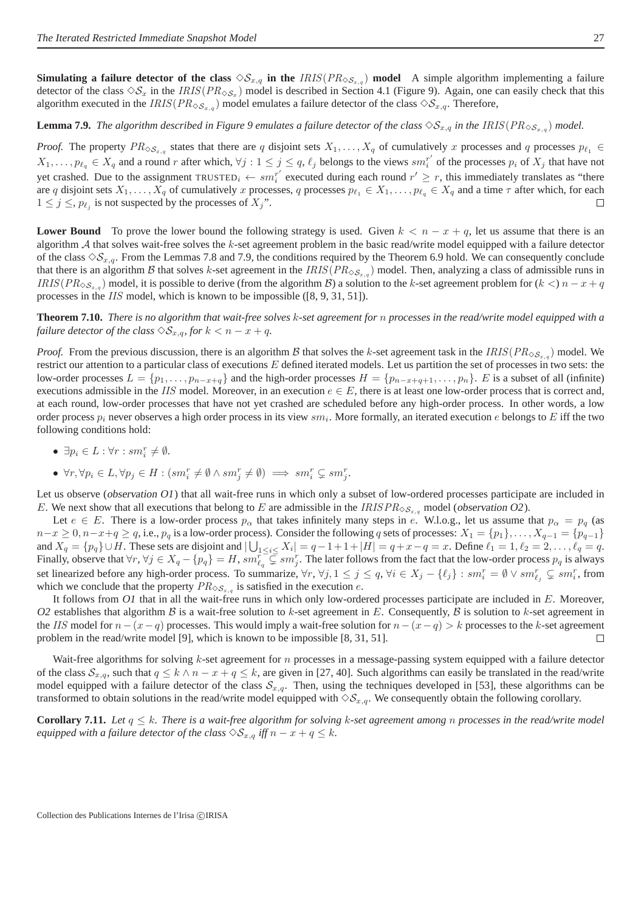**Simulating a failure detector of the class**  $\Diamond S_{x,q}$  in the *IRIS*( $PR_{\Diamond S_{x,q}}$ ) model A simple algorithm implementing a failure detector of the class  $\Diamond S_x$  in the IRIS(PR $_{\Diamond S_x}$ ) model is described in Section 4.1 (Figure 9). Again, one can easily check that this algorithm executed in the  $IRIS(PR_{\diamond S_{x,q}})$  model emulates a failure detector of the class  $\diamond S_{x,q}$ . Therefore,

#### **Lemma 7.9.** The algorithm described in Figure 9 emulates a failure detector of the class  $\Diamond S_{x,q}$  in the IRIS( $PR_{\Diamond S_{x,q}}$ ) model.

*Proof.* The property  $PR_{\diamondsuit S_{x,q}}$  states that there are q disjoint sets  $X_1, \ldots, X_q$  of cumulatively x processes and q processes  $p_{\ell_1} \in$  $X_1, \ldots, p_{\ell_q} \in X_q$  and a round r after which,  $\forall j : 1 \leq j \leq q$ ,  $\ell_j$  belongs to the views  $sm_i^{r'}$  $i_i^r$  of the processes  $p_i$  of  $X_j$  that have not yet crashed. Due to the assignment TRUSTED<sub>i</sub>  $\leftarrow sm_i^{r'}$  $i_i^{r'}$  executed during each round  $r' \geq r$ , this immediately translates as "there are q disjoint sets  $X_1, \ldots, X_q$  of cumulatively x processes, q processes  $p_{\ell_1} \in X_1, \ldots, p_{\ell_q} \in X_q$  and a time  $\tau$  after which, for each  $1 \leq j \leq p_{\ell_j}$  is not suspected by the processes of  $X_j$ ".  $\Box$ 

**Lower Bound** To prove the lower bound the following strategy is used. Given  $k < n - x + q$ , let us assume that there is an algorithm  $A$  that solves wait-free solves the  $k$ -set agreement problem in the basic read/write model equipped with a failure detector of the class  $\Diamond S_{x,q}$ . From the Lemmas 7.8 and 7.9, the conditions required by the Theorem 6.9 hold. We can consequently conclude that there is an algorithm B that solves k-set agreement in the  $IRIS(PR_{\diamondsuit S_{x,q}})$  model. Then, analyzing a class of admissible runs in  $IRIS(PR_{\diamond S_{x,q}})$  model, it is possible to derive (from the algorithm B) a solution to the k-set agreement problem for  $(k <) n - x + q$ processes in the IIS model, which is known to be impossible ([8, 9, 31, 51]).

**Theorem 7.10.** *There is no algorithm that wait-free solves* k*-set agreement for* n *processes in the read/write model equipped with a failure detector of the class*  $\Diamond S_{x,q}$ *, for*  $k < n - x + q$ *.* 

*Proof.* From the previous discussion, there is an algorithm B that solves the k-set agreement task in the  $IRIS(PR_{\diamond S_{x,q}})$  model. We restrict our attention to a particular class of executions E defined iterated models. Let us partition the set of processes in two sets: the low-order processes  $L = \{p_1, \ldots, p_{n-x+q}\}\$  and the high-order processes  $H = \{p_{n-x+q+1}, \ldots, p_n\}\$ . E is a subset of all (infinite) executions admissible in the IIS model. Moreover, in an execution  $e \in E$ , there is at least one low-order process that is correct and, at each round, low-order processes that have not yet crashed are scheduled before any high-order process. In other words, a low order process  $p_i$  never observes a high order process in its view  $sm_i$ . More formally, an iterated execution e belongs to E iff the two following conditions hold:

- $\exists p_i \in L : \forall r : sm_i^r \neq \emptyset.$
- $\forall r, \forall p_i \in L, \forall p_j \in H : (sm_i^r \neq \emptyset \land sm_j^r \neq \emptyset) \implies sm_i^r \subsetneq sm_j^r.$

Let us observe (*observation O1*) that all wait-free runs in which only a subset of low-ordered processes participate are included in E. We next show that all executions that belong to E are admissible in the IRIS  $PR_{\diamond S_{x,q}}$  model (observation O2).

Let  $e \in E$ . There is a low-order process  $p_\alpha$  that takes infinitely many steps in e. W.l.o.g., let us assume that  $p_\alpha = p_q$  (as  $n-x \ge 0$ ,  $n-x+q \ge q$ , i.e.,  $p_q$  is a low-order process). Consider the following q sets of processes:  $X_1 = \{p_1\}, \ldots, X_{q-1} = \{p_{q-1}\}$ and  $X_q = \{p_q\} \cup H$ . These sets are disjoint and  $|\bigcup_{1 \leq i \leq} X_i| = q - 1 + 1 + |H| = q + x - q = x$ . Define  $\ell_1 = 1, \ell_2 = 2, \ldots, \ell_q = q$ . Finally, observe that  $\forall r, \forall j \in X_q - \{p_q\} = H$ ,  $sm_{\ell_q}^r \subsetneq sm_j^r$ . The later follows from the fact that the low-order process  $p_q$  is always set linearized before any high-order process. To summarize,  $\forall r, \forall j, 1 \le j \le q, \forall i \in X_j - \{\ell_j\} : sm_i^r = \emptyset \vee sm_{\ell_j}^r \subsetneq sm_i^r$ , from which we conclude that the property  $PR_{\diamondsuit S_{x,q}}$  is satisfied in the execution e.

It follows from O1 that in all the wait-free runs in which only low-ordered processes participate are included in E. Moreover, O2 establishes that algorithm B is a wait-free solution to k-set agreement in E. Consequently, B is solution to k-set agreement in the IIS model for  $n-(x-q)$  processes. This would imply a wait-free solution for  $n-(x-q) > k$  processes to the k-set agreement problem in the read/write model [9], which is known to be impossible [8, 31, 51].  $\Box$ 

Wait-free algorithms for solving  $k$ -set agreement for  $n$  processes in a message-passing system equipped with a failure detector of the class  $S_{x,q}$ , such that  $q \leq k \wedge n - x + q \leq k$ , are given in [27, 40]. Such algorithms can easily be translated in the read/write model equipped with a failure detector of the class  $S_{x,q}$ . Then, using the techniques developed in [53], these algorithms can be transformed to obtain solutions in the read/write model equipped with  $\diamondsuit_{x,q}$ . We consequently obtain the following corollary.

**Corollary 7.11.** Let  $q \leq k$ . There is a wait-free algorithm for solving k-set agreement among n processes in the read/write model *equipped with a failure detector of the class*  $\Diamond S_{x,q}$  *iff*  $n - x + q \leq k$ *.*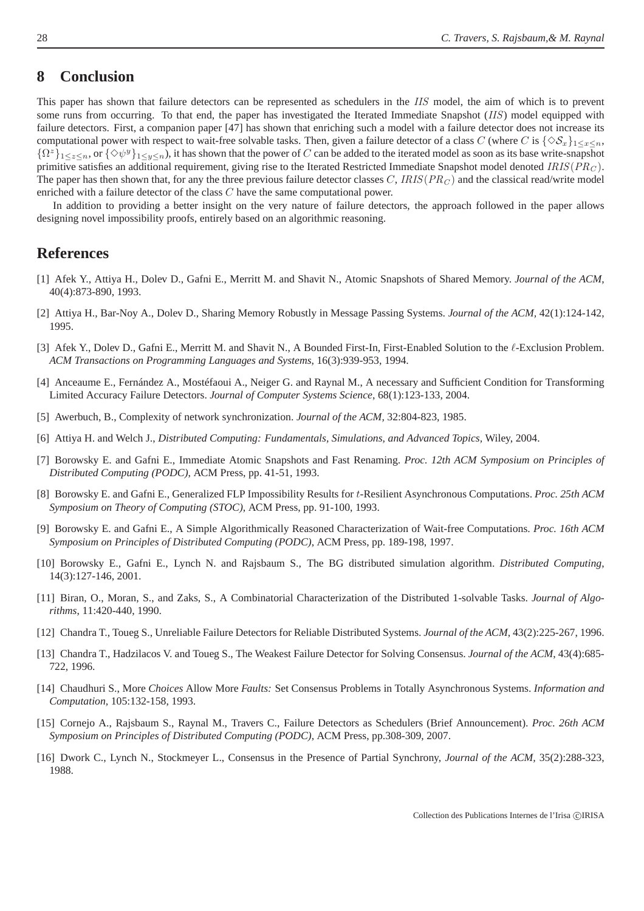## **8 Conclusion**

This paper has shown that failure detectors can be represented as schedulers in the IIS model, the aim of which is to prevent some runs from occurring. To that end, the paper has investigated the Iterated Immediate Snapshot ( $\overline{IIS}$ ) model equipped with failure detectors. First, a companion paper [47] has shown that enriching such a model with a failure detector does not increase its computational power with respect to wait-free solvable tasks. Then, given a failure detector of a class C (where C is  $\{\infty s_n\}_{1 \leq x \leq n}$ ,  $\{\Omega^z\}_{1\leq z\leq n}$ , or  $\{\Diamond \psi^y\}_{1\leq y\leq n}$ , it has shown that the power of C can be added to the iterated model as soon as its base write-snapshot primitive satisfies an additional requirement, giving rise to the Iterated Restricted Immediate Snapshot model denoted  $IRIS(PR_C)$ . The paper has then shown that, for any the three previous failure detector classes C, IRIS( $PR_C$ ) and the classical read/write model enriched with a failure detector of the class C have the same computational power.

In addition to providing a better insight on the very nature of failure detectors, the approach followed in the paper allows designing novel impossibility proofs, entirely based on an algorithmic reasoning.

#### **References**

- [1] Afek Y., Attiya H., Dolev D., Gafni E., Merritt M. and Shavit N., Atomic Snapshots of Shared Memory. *Journal of the ACM*, 40(4):873-890, 1993.
- [2] Attiya H., Bar-Noy A., Dolev D., Sharing Memory Robustly in Message Passing Systems. *Journal of the ACM,* 42(1):124-142, 1995.
- [3] Afek Y., Dolev D., Gafni E., Merritt M. and Shavit N., A Bounded First-In, First-Enabled Solution to the ℓ-Exclusion Problem. *ACM Transactions on Programming Languages and Systems*, 16(3):939-953, 1994.
- [4] Anceaume E., Fernández A., Mostéfaoui A., Neiger G. and Raynal M., A necessary and Sufficient Condition for Transforming Limited Accuracy Failure Detectors. *Journal of Computer Systems Science*, 68(1):123-133, 2004.
- [5] Awerbuch, B., Complexity of network synchronization. *Journal of the ACM,* 32:804-823, 1985.
- [6] Attiya H. and Welch J., *Distributed Computing: Fundamentals, Simulations, and Advanced Topics,* Wiley, 2004.
- [7] Borowsky E. and Gafni E., Immediate Atomic Snapshots and Fast Renaming. *Proc. 12th ACM Symposium on Principles of Distributed Computing (PODC)*, ACM Press, pp. 41-51, 1993.
- [8] Borowsky E. and Gafni E., Generalized FLP Impossibility Results for t-Resilient Asynchronous Computations. *Proc. 25th ACM Symposium on Theory of Computing (STOC)*, ACM Press, pp. 91-100, 1993.
- [9] Borowsky E. and Gafni E., A Simple Algorithmically Reasoned Characterization of Wait-free Computations. *Proc. 16th ACM Symposium on Principles of Distributed Computing (PODC)*, ACM Press, pp. 189-198, 1997.
- [10] Borowsky E., Gafni E., Lynch N. and Rajsbaum S., The BG distributed simulation algorithm. *Distributed Computing*, 14(3):127-146, 2001.
- [11] Biran, O., Moran, S., and Zaks, S., A Combinatorial Characterization of the Distributed 1-solvable Tasks. *Journal of Algorithms*, 11:420-440, 1990.
- [12] Chandra T., Toueg S., Unreliable Failure Detectors for Reliable Distributed Systems. *Journal of the ACM*, 43(2):225-267, 1996.
- [13] Chandra T., Hadzilacos V. and Toueg S., The Weakest Failure Detector for Solving Consensus. *Journal of the ACM*, 43(4):685- 722, 1996.
- [14] Chaudhuri S., More *Choices* Allow More *Faults:* Set Consensus Problems in Totally Asynchronous Systems. *Information and Computation,* 105:132-158, 1993.
- [15] Cornejo A., Rajsbaum S., Raynal M., Travers C., Failure Detectors as Schedulers (Brief Announcement). *Proc. 26th ACM Symposium on Principles of Distributed Computing (PODC)*, ACM Press, pp.308-309, 2007.
- [16] Dwork C., Lynch N., Stockmeyer L., Consensus in the Presence of Partial Synchrony, *Journal of the ACM,* 35(2):288-323, 1988.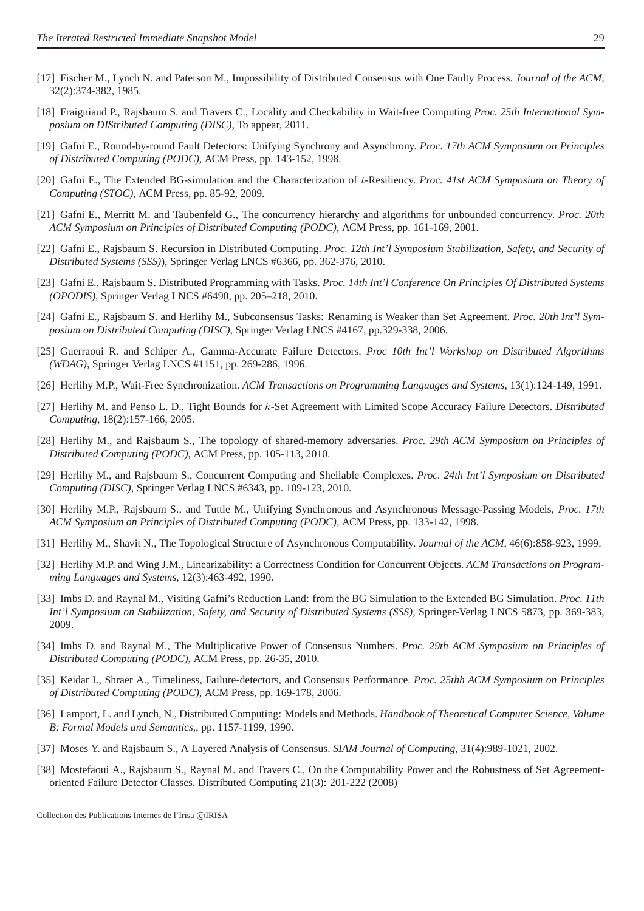- [17] Fischer M., Lynch N. and Paterson M., Impossibility of Distributed Consensus with One Faulty Process. *Journal of the ACM*, 32(2):374-382, 1985.
- [18] Fraigniaud P., Rajsbaum S. and Travers C., Locality and Checkability in Wait-free Computing *Proc. 25th International Symposium on DIStributed Computing (DISC)*, To appear, 2011.
- [19] Gafni E., Round-by-round Fault Detectors: Unifying Synchrony and Asynchrony. *Proc. 17th ACM Symposium on Principles of Distributed Computing (PODC)*, ACM Press, pp. 143-152, 1998.
- [20] Gafni E., The Extended BG-simulation and the Characterization of t-Resiliency. *Proc. 41st ACM Symposium on Theory of Computing (STOC)*, ACM Press, pp. 85-92, 2009.
- [21] Gafni E., Merritt M. and Taubenfeld G., The concurrency hierarchy and algorithms for unbounded concurrency. *Proc. 20th ACM Symposium on Principles of Distributed Computing (PODC)*, ACM Press, pp. 161-169, 2001.
- [22] Gafni E., Rajsbaum S. Recursion in Distributed Computing. *Proc. 12th Int'l Symposium Stabilization, Safety, and Security of Distributed Systems (SSS)*), Springer Verlag LNCS #6366, pp. 362-376, 2010.
- [23] Gafni E., Rajsbaum S. Distributed Programming with Tasks. *Proc. 14th Int'l Conference On Principles Of Distributed Systems (OPODIS)*, Springer Verlag LNCS #6490, pp. 205–218, 2010.
- [24] Gafni E., Rajsbaum S. and Herlihy M., Subconsensus Tasks: Renaming is Weaker than Set Agreement. *Proc. 20th Int'l Symposium on Distributed Computing (DISC)*, Springer Verlag LNCS #4167, pp.329-338, 2006.
- [25] Guerraoui R. and Schiper A., Gamma-Accurate Failure Detectors. *Proc 10th Int'l Workshop on Distributed Algorithms (WDAG)*, Springer Verlag LNCS #1151, pp. 269-286, 1996.
- [26] Herlihy M.P., Wait-Free Synchronization. *ACM Transactions on Programming Languages and Systems*, 13(1):124-149, 1991.
- [27] Herlihy M. and Penso L. D., Tight Bounds for k-Set Agreement with Limited Scope Accuracy Failure Detectors. *Distributed Computing*, 18(2):157-166, 2005.
- [28] Herlihy M., and Rajsbaum S., The topology of shared-memory adversaries. *Proc. 29th ACM Symposium on Principles of Distributed Computing (PODC)*, ACM Press, pp. 105-113, 2010.
- [29] Herlihy M., and Rajsbaum S., Concurrent Computing and Shellable Complexes. *Proc. 24th Int'l Symposium on Distributed Computing (DISC)*, Springer Verlag LNCS #6343, pp. 109-123, 2010.
- [30] Herlihy M.P., Rajsbaum S., and Tuttle M., Unifying Synchronous and Asynchronous Message-Passing Models, *Proc. 17th ACM Symposium on Principles of Distributed Computing (PODC)*, ACM Press, pp. 133-142, 1998.
- [31] Herlihy M., Shavit N., The Topological Structure of Asynchronous Computability. *Journal of the ACM*, 46(6):858-923, 1999.
- [32] Herlihy M.P. and Wing J.M., Linearizability: a Correctness Condition for Concurrent Objects. *ACM Transactions on Programming Languages and Systems*, 12(3):463-492, 1990.
- [33] Imbs D. and Raynal M., Visiting Gafni's Reduction Land: from the BG Simulation to the Extended BG Simulation. *Proc. 11th Int'l Symposium on Stabilization, Safety, and Security of Distributed Systems (SSS)*, Springer-Verlag LNCS 5873, pp. 369-383, 2009.
- [34] Imbs D. and Raynal M., The Multiplicative Power of Consensus Numbers. *Proc. 29th ACM Symposium on Principles of Distributed Computing (PODC)*, ACM Press, pp. 26-35, 2010.
- [35] Keidar I., Shraer A., Timeliness, Failure-detectors, and Consensus Performance. *Proc. 25thh ACM Symposium on Principles of Distributed Computing (PODC)*, ACM Press, pp. 169-178, 2006.
- [36] Lamport, L. and Lynch, N., Distributed Computing: Models and Methods. *Handbook of Theoretical Computer Science, Volume B: Formal Models and Semantics,*, pp. 1157-1199, 1990.
- [37] Moses Y. and Rajsbaum S., A Layered Analysis of Consensus. *SIAM Journal of Computing*, 31(4):989-1021, 2002.
- [38] Mostefaoui A., Rajsbaum S., Raynal M. and Travers C., On the Computability Power and the Robustness of Set Agreementoriented Failure Detector Classes. Distributed Computing 21(3): 201-222 (2008)